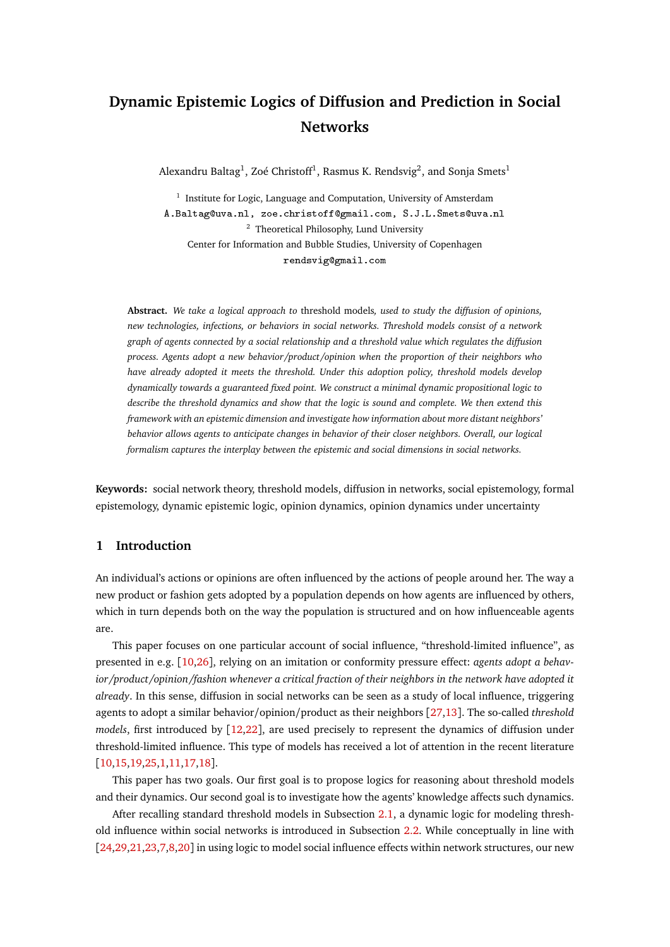# **Dynamic Epistemic Logics of Diffusion and Prediction in Social Networks**

Alexandru Baltag $^1$ , Zoé Christoff $^1$ , Rasmus K. Rendsvig $^2$ , and Sonja Smets $^1$ 

<sup>1</sup> Institute for Logic, Language and Computation, University of Amsterdam A.Baltag@uva.nl, zoe.christoff@gmail.com, S.J.L.Smets@uva.nl <sup>2</sup> Theoretical Philosophy, Lund University Center for Information and Bubble Studies, University of Copenhagen rendsvig@gmail.com

**Abstract.** *We take a logical approach to* threshold models*, used to study the diffusion of opinions, new technologies, infections, or behaviors in social networks. Threshold models consist of a network graph of agents connected by a social relationship and a threshold value which regulates the diffusion process. Agents adopt a new behavior/product/opinion when the proportion of their neighbors who have already adopted it meets the threshold. Under this adoption policy, threshold models develop dynamically towards a guaranteed fixed point. We construct a minimal dynamic propositional logic to describe the threshold dynamics and show that the logic is sound and complete. We then extend this framework with an epistemic dimension and investigate how information about more distant neighbors' behavior allows agents to anticipate changes in behavior of their closer neighbors. Overall, our logical formalism captures the interplay between the epistemic and social dimensions in social networks.*

**Keywords:** social network theory, threshold models, diffusion in networks, social epistemology, formal epistemology, dynamic epistemic logic, opinion dynamics, opinion dynamics under uncertainty

## <span id="page-0-0"></span>**1 Introduction**

An individual's actions or opinions are often influenced by the actions of people around her. The way a new product or fashion gets adopted by a population depends on how agents are influenced by others, which in turn depends both on the way the population is structured and on how influenceable agents are.

This paper focuses on one particular account of social influence, "threshold-limited influence", as presented in e.g. [[10](#page-27-0)[,26](#page-28-0)], relying on an imitation or conformity pressure effect: *agents adopt a behavior/product/opinion/fashion whenever a critical fraction of their neighbors in the network have adopted it already*. In this sense, diffusion in social networks can be seen as a study of local influence, triggering agents to adopt a similar behavior/opinion/product as their neighbors [[27](#page-28-1)[,13](#page-27-1)]. The so-called *threshold models*, first introduced by [[12](#page-27-2)[,22](#page-28-2)], are used precisely to represent the dynamics of diffusion under threshold-limited influence. This type of models has received a lot of attention in the recent literature [[10,](#page-27-0)[15,](#page-27-3)[19,](#page-27-4)[25](#page-28-3)[,1](#page-27-5)[,11](#page-27-6)[,17,](#page-27-7)[18](#page-27-8)].

This paper has two goals. Our first goal is to propose logics for reasoning about threshold models and their dynamics. Our second goal is to investigate how the agents' knowledge affects such dynamics.

After recalling standard threshold models in Subsection [2.1,](#page-1-0) a dynamic logic for modeling threshold influence within social networks is introduced in Subsection [2.2.](#page-3-0) While conceptually in line with [[24,](#page-28-4)[29,](#page-28-5)[21,](#page-27-9)[23](#page-28-6)[,7](#page-27-10)[,8](#page-27-11)[,20](#page-27-12)] in using logic to model social influence effects within network structures, our new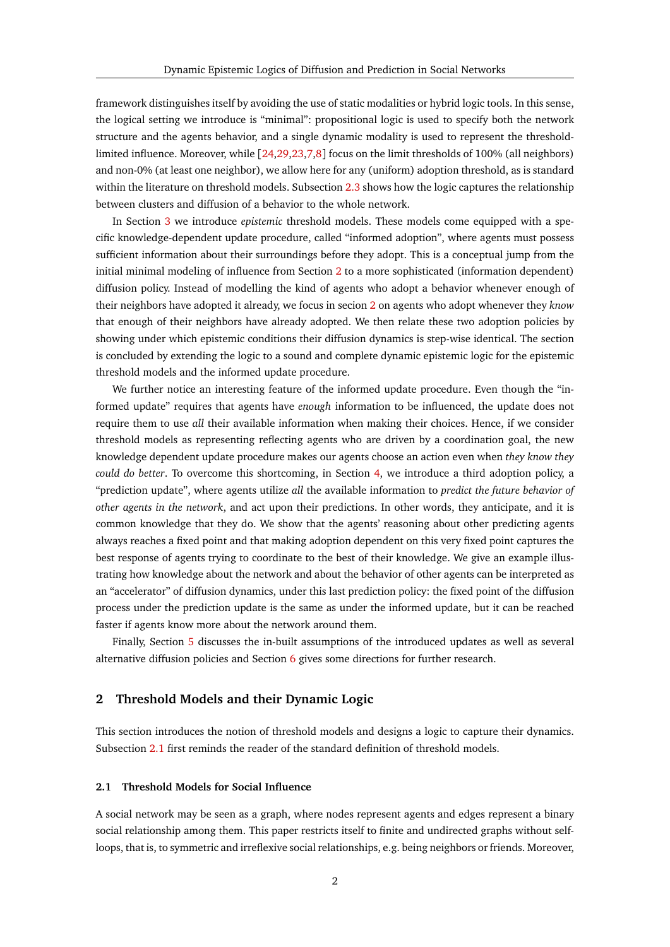framework distinguishes itself by avoiding the use of static modalities or hybrid logic tools. In this sense, the logical setting we introduce is "minimal": propositional logic is used to specify both the network structure and the agents behavior, and a single dynamic modality is used to represent the thresholdlimited influence. Moreover, while [[24](#page-28-4)[,29](#page-28-5)[,23,](#page-28-6)[7,](#page-27-10)[8](#page-27-11)] focus on the limit thresholds of 100% (all neighbors) and non-0% (at least one neighbor), we allow here for any (uniform) adoption threshold, as is standard within the literature on threshold models. Subsection [2.3](#page-6-0) shows how the logic captures the relationship between clusters and diffusion of a behavior to the whole network.

In Section [3](#page-8-0) we introduce *epistemic* threshold models. These models come equipped with a specific knowledge-dependent update procedure, called "informed adoption", where agents must possess sufficient information about their surroundings before they adopt. This is a conceptual jump from the initial minimal modeling of influence from Section [2](#page-1-1) to a more sophisticated (information dependent) diffusion policy. Instead of modelling the kind of agents who adopt a behavior whenever enough of their neighbors have adopted it already, we focus in secion [2](#page-1-1) on agents who adopt whenever they *know* that enough of their neighbors have already adopted. We then relate these two adoption policies by showing under which epistemic conditions their diffusion dynamics is step-wise identical. The section is concluded by extending the logic to a sound and complete dynamic epistemic logic for the epistemic threshold models and the informed update procedure.

We further notice an interesting feature of the informed update procedure. Even though the "informed update" requires that agents have *enough* information to be influenced, the update does not require them to use *all* their available information when making their choices. Hence, if we consider threshold models as representing reflecting agents who are driven by a coordination goal, the new knowledge dependent update procedure makes our agents choose an action even when *they know they could do better*. To overcome this shortcoming, in Section [4,](#page-17-0) we introduce a third adoption policy, a "prediction update", where agents utilize *all* the available information to *predict the future behavior of other agents in the network*, and act upon their predictions. In other words, they anticipate, and it is common knowledge that they do. We show that the agents' reasoning about other predicting agents always reaches a fixed point and that making adoption dependent on this very fixed point captures the best response of agents trying to coordinate to the best of their knowledge. We give an example illustrating how knowledge about the network and about the behavior of other agents can be interpreted as an "accelerator" of diffusion dynamics, under this last prediction policy: the fixed point of the diffusion process under the prediction update is the same as under the informed update, but it can be reached faster if agents know more about the network around them.

Finally, Section [5](#page-22-0) discusses the in-built assumptions of the introduced updates as well as several alternative diffusion policies and Section [6](#page-25-0) gives some directions for further research.

## <span id="page-1-1"></span>**2 Threshold Models and their Dynamic Logic**

This section introduces the notion of threshold models and designs a logic to capture their dynamics. Subsection [2.1](#page-1-0) first reminds the reader of the standard definition of threshold models.

## <span id="page-1-0"></span>**2.1 Threshold Models for Social Influence**

A social network may be seen as a graph, where nodes represent agents and edges represent a binary social relationship among them. This paper restricts itself to finite and undirected graphs without selfloops, that is, to symmetric and irreflexive social relationships, e.g. being neighbors or friends. Moreover,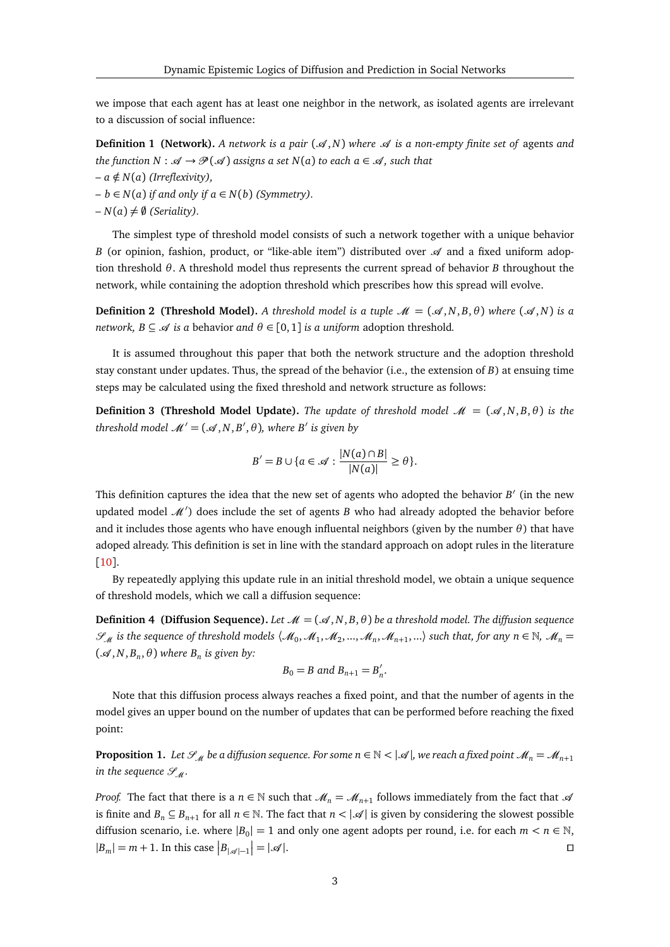we impose that each agent has at least one neighbor in the network, as isolated agents are irrelevant to a discussion of social influence:

**Definition 1 (Network).** A network is a pair  $(\mathcal{A}, N)$  where  $\mathcal{A}$  is a non-empty finite set of agents and *the function N* :  $\mathscr{A} \to \mathscr{P}(\mathscr{A})$  *assigns a set*  $N(a)$  *to each a*  $\in \mathscr{A}$ *, such that* 

$$
- a \notin N(a) \ (Irreflexivity),
$$

 $- b ∈ N(a)$  *if and only if a* ∈ *N*(*b*) (*Symmetry*).

 $-N(a) \neq \emptyset$  (*Seriality*).

The simplest type of threshold model consists of such a network together with a unique behavior *B* (or opinion, fashion, product, or "like-able item") distributed over  $\mathcal A$  and a fixed uniform adoption threshold *θ*. A threshold model thus represents the current spread of behavior *B* throughout the network, while containing the adoption threshold which prescribes how this spread will evolve.

<span id="page-2-2"></span>**Definition 2 (Threshold Model).** *A threshold model is a tuple*  $\mathcal{M} = (\mathcal{A}, N, B, \theta)$  *where*  $(\mathcal{A}, N)$  *is a network, B*  $\subseteq$   $\mathcal{A}$  *is a* behavior *and*  $\theta \in [0, 1]$  *is a uniform* adoption threshold.

It is assumed throughout this paper that both the network structure and the adoption threshold stay constant under updates. Thus, the spread of the behavior (i.e., the extension of *B*) at ensuing time steps may be calculated using the fixed threshold and network structure as follows:

**Definition 3 (Threshold Model Update).** *The update of threshold model*  $\mathcal{M} = (\mathcal{A}, N, B, \theta)$  *is the threshold model*  $\mathcal{M}' = (\mathcal{A}, N, B', \theta)$ *, where B' is given by* 

<span id="page-2-0"></span>
$$
B'=B\cup\{a\in\mathscr{A}:\frac{|N(a)\cap B|}{|N(a)|}\geq\theta\}.
$$

This definition captures the idea that the new set of agents who adopted the behavior  $B'$  (in the new updated model  $\mathcal{M}'$ ) does include the set of agents *B* who had already adopted the behavior before and it includes those agents who have enough influental neighbors (given by the number *θ*) that have adoped already. This definition is set in line with the standard approach on adopt rules in the literature [[10](#page-27-0)].

By repeatedly applying this update rule in an initial threshold model, we obtain a unique sequence of threshold models, which we call a diffusion sequence:

**Definition 4 (Diffusion Sequence).** *Let*  $\mathcal{M} = (\mathcal{A}, N, B, \theta)$  *be a threshold model. The diffusion sequence*  $\mathscr{S}_{M}$  is the sequence of threshold models  $\langle \mathscr{M}_{0}, \mathscr{M}_{1}, \mathscr{M}_{2}, ..., \mathscr{M}_{n}, \mathscr{M}_{n+1}, ...\rangle$  such that, for any  $n \in \mathbb{N}$ ,  $\mathscr{M}_{n}$  $({\mathcal{A}}, N, B_n, \theta)$  where  $B_n$  is given by:

$$
B_0 = B \text{ and } B_{n+1} = B'_n.
$$

Note that this diffusion process always reaches a fixed point, and that the number of agents in the model gives an upper bound on the number of updates that can be performed before reaching the fixed point:

<span id="page-2-1"></span>**Proposition 1.** Let  $\mathcal{S}_M$  be a diffusion sequence. For some  $n \in \mathbb{N} < |\mathcal{A}|$ , we reach a fixed point  $\mathcal{M}_n = \mathcal{M}_{n+1}$ *in the sequence*  $\mathcal{S}_M$ *.* 

*Proof.* The fact that there is a  $n \in \mathbb{N}$  such that  $\mathcal{M}_n = \mathcal{M}_{n+1}$  follows immediately from the fact that  $\mathcal{A}$ is finite and  $B_n \subseteq B_{n+1}$  for all  $n \in \mathbb{N}$ . The fact that  $n < |\mathcal{A}|$  is given by considering the slowest possible diffusion scenario, i.e. where  $|B_0| = 1$  and only one agent adopts per round, i.e. for each  $m < n \in \mathbb{N}$ ,  $|B_m| = m + 1$ . In this case  $|B_{|\mathscr{A}|-1}|$  $= |\mathscr{A}|.$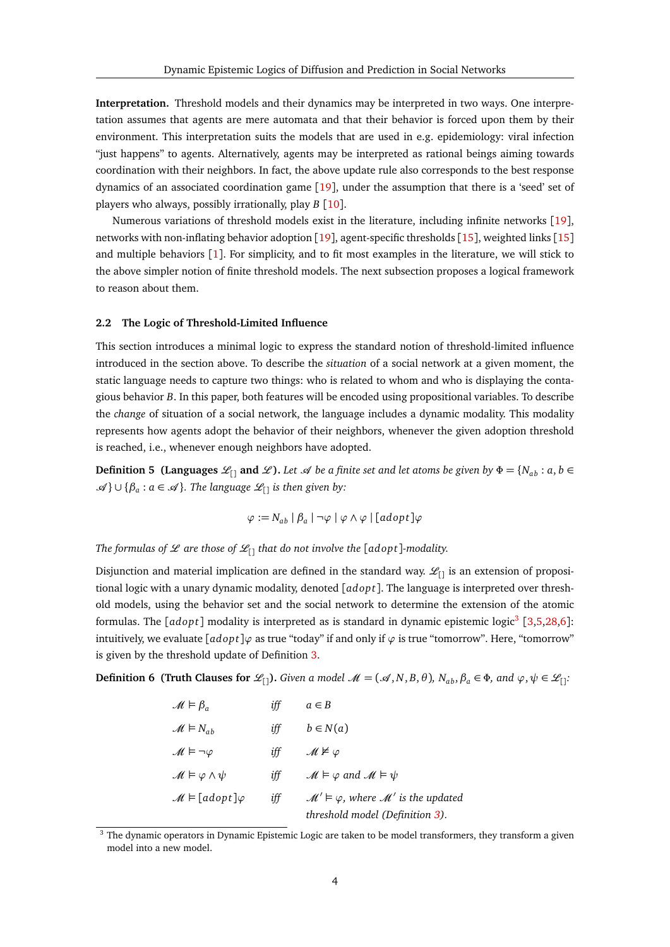<span id="page-3-2"></span>**Interpretation.** Threshold models and their dynamics may be interpreted in two ways. One interpretation assumes that agents are mere automata and that their behavior is forced upon them by their environment. This interpretation suits the models that are used in e.g. epidemiology: viral infection "just happens" to agents. Alternatively, agents may be interpreted as rational beings aiming towards coordination with their neighbors. In fact, the above update rule also corresponds to the best response dynamics of an associated coordination game [[19](#page-27-4)], under the assumption that there is a 'seed' set of players who always, possibly irrationally, play *B* [[10](#page-27-0)].

Numerous variations of threshold models exist in the literature, including infinite networks [[19](#page-27-4)], networks with non-inflating behavior adoption [[19](#page-27-4)], agent-specific thresholds [[15](#page-27-3)], weighted links [[15](#page-27-3)] and multiple behaviors  $\lceil 1 \rceil$  $\lceil 1 \rceil$  $\lceil 1 \rceil$ . For simplicity, and to fit most examples in the literature, we will stick to the above simpler notion of finite threshold models. The next subsection proposes a logical framework to reason about them.

#### <span id="page-3-0"></span>**2.2 The Logic of Threshold-Limited Influence**

This section introduces a minimal logic to express the standard notion of threshold-limited influence introduced in the section above. To describe the *situation* of a social network at a given moment, the static language needs to capture two things: who is related to whom and who is displaying the contagious behavior *B*. In this paper, both features will be encoded using propositional variables. To describe the *change* of situation of a social network, the language includes a dynamic modality. This modality represents how agents adopt the behavior of their neighbors, whenever the given adoption threshold is reached, i.e., whenever enough neighbors have adopted.

**Definition 5 (Languages**  $\mathcal{L}_{[1]}$  **and**  $\mathcal{L}$ **).** Let  $\mathcal{A}$  be a finite set and let atoms be given by  $\Phi = \{N_{ab} : a, b \in \Phi\}$ A } ∪ {*β<sup>a</sup>* : *<sup>a</sup>* ∈ A }*. The language* <sup>L</sup>[] *is then given by:*

<span id="page-3-3"></span>
$$
\varphi := N_{ab} | \beta_a | \neg \varphi | \varphi \wedge \varphi | [adopt] \varphi
$$

*The formulas of*  $\mathcal{L}$  *are those of*  $\mathcal{L}_{\Box}$  *that do not involve the [adopt]-modality.* 

Disjunction and material implication are defined in the standard way.  $\mathcal{L}_{[1]}$  is an extension of propositional logic with a unary dynamic modality, denoted [*adop t*]. The language is interpreted over threshold models, using the behavior set and the social network to determine the extension of the atomic formulas. The [adopt] modality is interpreted as is standard in dynamic epistemic logic<sup>[3](#page-3-1)</sup> [[3,](#page-27-13)[5,](#page-27-14)[28](#page-28-7)[,6](#page-27-15)]: intuitively, we evaluate [*adop t*]*ϕ* as true "today" if and only if *ϕ* is true "tomorrow". Here, "tomorrow" is given by the threshold update of Definition [3.](#page-2-0)

**Definition 6 (Truth Clauses for**  $\mathcal{L}_{[1]}$ ). Given a model  $\mathcal{M} = (\mathcal{A}, N, B, \theta)$ ,  $N_{ab}, \beta_a \in \Phi$ , and  $\varphi, \psi \in \mathcal{L}_{[1]}$ :

| $\mathcal{M} \models \beta_{\alpha}$ | iff | $a \in B$                                                                                              |
|--------------------------------------|-----|--------------------------------------------------------------------------------------------------------|
| $\mathcal{M} \models N_{ab}$         | iff | $b \in N(a)$                                                                                           |
| $M \vDash \neg \varphi$              | iff | $M \not\models \varphi$                                                                                |
| $M \vDash \varphi \wedge \psi$       | iff | $M \vDash \varphi$ and $M \vDash \psi$                                                                 |
| $\mathcal{M} \vDash [adopt] \varphi$ | iff | $\mathcal{M}' \vDash \varphi$ , where $\mathcal{M}'$ is the updated<br>threshold model (Definition 3). |

<span id="page-3-1"></span><sup>&</sup>lt;sup>3</sup> The dynamic operators in Dynamic Epistemic Logic are taken to be model transformers, they transform a given model into a new model.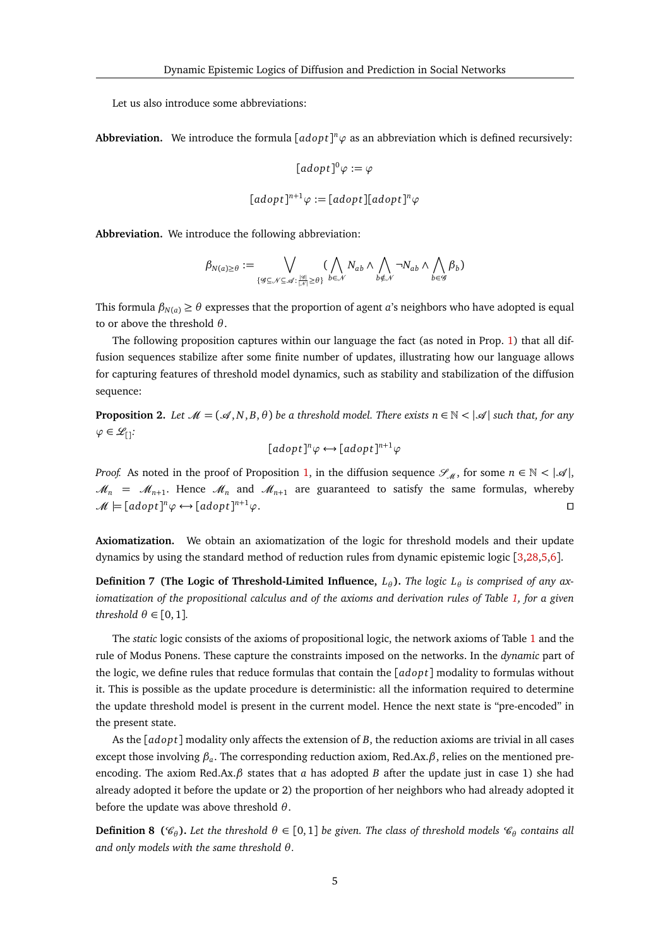Let us also introduce some abbreviations:

**Abbreviation.** We introduce the formula  $[adopt]^n\varphi$  as an abbreviation which is defined recursively:

$$
[adopt]^{0}\varphi:=\varphi
$$

$$
[adopt]^{n+1} \varphi := [adopt][adopt]^n \varphi
$$

<span id="page-4-0"></span>**Abbreviation.** We introduce the following abbreviation:

$$
\beta_{N(a)\geq \theta}:=\bigvee_{\{\mathscr{G}\subseteq \mathscr{N}\subseteq \mathscr{A}:\frac{|\mathscr{G}|}{|\mathscr{N}|}\geq \theta\}}(\bigwedge_{b\in \mathscr{N}}N_{ab}\wedge \bigwedge_{b\notin \mathscr{N}}\neg N_{ab}\wedge \bigwedge_{b\in \mathscr{G}}\beta_b)
$$

This formula  $\beta_{N(a)} \ge \theta$  expresses that the proportion of agent *a*'s neighbors who have adopted is equal to or above the threshold *θ*.

The following proposition captures within our language the fact (as noted in Prop. [1\)](#page-2-1) that all diffusion sequences stabilize after some finite number of updates, illustrating how our language allows for capturing features of threshold model dynamics, such as stability and stabilization of the diffusion sequence:

**Proposition 2.** Let  $\mathcal{M} = (\mathcal{A}, N, B, \theta)$  be a threshold model. There exists  $n \in \mathbb{N} < |\mathcal{A}|$  such that, for any  $\varphi$  ∈  $\mathscr{L}_{[]}$ :

$$
[adopt]^n \varphi \longleftrightarrow [adopt]^{n+1} \varphi
$$

*Proof.* As noted in the proof of Proposition [1,](#page-2-1) in the diffusion sequence  $\mathcal{S}_{\mathcal{M}}$ , for some  $n \in \mathbb{N} < |\mathcal{A}|$ ,  $M_n = M_{n+1}$ . Hence  $M_n$  and  $M_{n+1}$  are guaranteed to satisfy the same formulas, whereby  $\mathcal{M} \models [adopt] \text{and} \varphi \leftrightarrow [adopt]$  $n+1$  $\varphi$ .

<span id="page-4-1"></span>**Axiomatization.** We obtain an axiomatization of the logic for threshold models and their update dynamics by using the standard method of reduction rules from dynamic epistemic logic [[3](#page-27-13)[,28,](#page-28-7)[5,](#page-27-14)[6](#page-27-15)].

**Definition 7 (The Logic of Threshold-Limited Influence,**  $L_{\theta}$ ). The logic  $L_{\theta}$  is comprised of any ax*iomatization of the propositional calculus and of the axioms and derivation rules of Table [1,](#page-5-0) for a given threshold*  $\theta \in [0, 1]$ *.* 

The *static* logic consists of the axioms of propositional logic, the network axioms of Table [1](#page-5-0) and the rule of Modus Ponens. These capture the constraints imposed on the networks. In the *dynamic* part of the logic, we define rules that reduce formulas that contain the [*adop t*] modality to formulas without it. This is possible as the update procedure is deterministic: all the information required to determine the update threshold model is present in the current model. Hence the next state is "pre-encoded" in the present state.

As the [*adop t*] modality only affects the extension of *B*, the reduction axioms are trivial in all cases except those involving *β<sup>a</sup>* . The corresponding reduction axiom, Red.Ax.*β*, relies on the mentioned preencoding. The axiom Red.Ax. $\beta$  states that *a* has adopted *B* after the update just in case 1) she had already adopted it before the update or 2) the proportion of her neighbors who had already adopted it before the update was above threshold *θ*.

**Definition 8** ( $\mathscr{C}_{\theta}$ ). Let the threshold  $\theta \in [0,1]$  be given. The class of threshold models  $\mathscr{C}_{\theta}$  contains all *and only models with the same threshold θ.*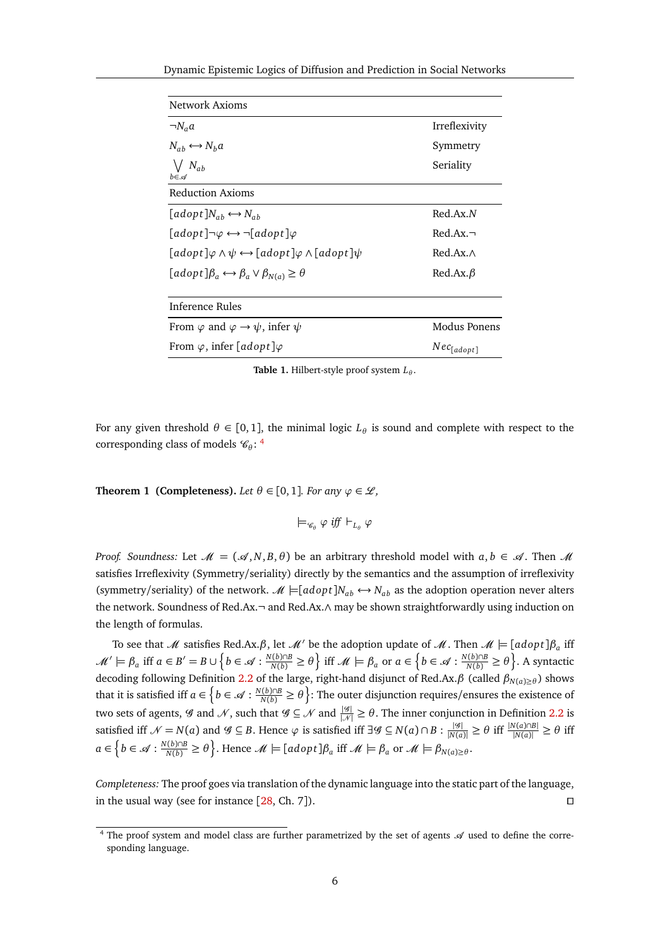| Network Axioms                                                                                                                           |                 |
|------------------------------------------------------------------------------------------------------------------------------------------|-----------------|
| $\neg N_a a$                                                                                                                             | Irreflexivity   |
| $N_{ah} \leftrightarrow N_h a$                                                                                                           | Symmetry        |
| $\bigvee N_{ab}$<br>$b \in \mathcal{A}$                                                                                                  | Seriality       |
| Reduction Axioms                                                                                                                         |                 |
| $\lceil adopt \rceil N_{ab} \leftrightarrow N_{ab}$                                                                                      | Red.Ax.N        |
| $[adopt] \neg \varphi \leftrightarrow \neg [adopt] \varphi$                                                                              | $Red$ Ax $\neg$ |
| $\lceil \text{adopt} \rceil \varphi \land \psi \leftrightarrow \lceil \text{adopt} \rceil \varphi \land \lceil \text{adopt} \rceil \psi$ | Red.Ax.A        |
| $[adopt]\beta_a \leftrightarrow \beta_a \vee \beta_{N(a)} \geq \theta$                                                                   | $Red.Ax.\beta$  |
| Inference Rules                                                                                                                          |                 |
| From $\varphi$ and $\varphi \rightarrow \psi$ , infer $\psi$                                                                             | Modus Ponens    |
| From $\varphi$ , infer [adopt] $\varphi$                                                                                                 | $Nec_{[adopt]}$ |

<span id="page-5-0"></span>**Table 1.** Hilbert-style proof system  $L_θ$ .

<span id="page-5-2"></span>For any given threshold  $\theta \in [0,1]$ , the minimal logic  $L_{\theta}$  is sound and complete with respect to the corresponding class of models  $\mathcal{C}_{\theta}$ : <sup>[4](#page-5-1)</sup>

**Theorem 1 (Completeness).** *Let*  $\theta \in [0,1]$ *. For any*  $\varphi \in \mathcal{L}$ *,* 

$$
\models_{\mathcal{C}_\theta} \varphi \textit{ iff } \vdash_{L_\theta} \varphi
$$

*Proof. Soundness:* Let  $\mathcal{M} = (\mathcal{A}, N, B, \theta)$  be an arbitrary threshold model with  $a, b \in \mathcal{A}$ . Then  $\mathcal{M}$ satisfies Irreflexivity (Symmetry/seriality) directly by the semantics and the assumption of irreflexivity (symmetry/seriality) of the network.  $\mathcal{M} \models [adopt]N_{ab} \leftrightarrow N_{ab}$  as the adoption operation never alters the network. Soundness of Red.Ax.¬ and Red.Ax.∧ may be shown straightforwardly using induction on the length of formulas.

To see that  $\mathscr M$  satisfies Red.Ax. $\beta$ , let  $\mathscr M'$  be the adoption update of  $\mathscr M$ . Then  $\mathscr M \models [adopt] \beta_a$  iff  $\mathcal{M}'\models\beta_a$  iff  $a\in B'=B\cup\Big\{b\in\mathcal{A}: \frac{N(b)\cap B}{N(b)}\geq\theta\Big\}$  iff  $\mathcal{M}\models\beta_a$  or  $a\in\Big\{b\in\mathcal{A}: \frac{N(b)\cap B}{N(b)}\geq\theta\Big\}$ . A syntactic decoding following Definition [2.2](#page-4-0) of the large, right-hand disjunct of Red.Ax.*β* (called *β<sup>N</sup>*(*a*)≥*<sup>θ</sup>* ) shows that it is satisfied iff  $a \in \left\{b \in \mathscr{A}: \frac{N(b) \cap B}{N(b)} \geq \theta\right\}$ : The outer disjunction requires/ensures the existence of two sets of agents,  $\mathscr G$  and  $\mathscr N$ , such that  $\mathscr G\subseteq\mathscr N$  and  $\frac{|\mathscr G|}{|\mathscr N|}\ge\theta$ . The inner conjunction in Definition [2.2](#page-4-0) is satisfied iff  $\mathcal{N} = N(a)$  and  $\mathcal{G} \subseteq B$ . Hence  $\varphi$  is satisfied iff  $\exists \mathcal{G} \subseteq N(a) \cap B : \frac{|\mathcal{G}|}{|N(a)|} \ge \theta$  iff  $\frac{|N(a) \cap B|}{|N(a)|} \ge \theta$  iff  $a \in \left\{ b \in \mathcal{A} : \frac{N(b) \cap B}{N(b)} \ge \theta \right\}$ . Hence  $\mathcal{M} \models [adopt] \beta_a$  iff  $\mathcal{M} \models \beta_a$  or  $\mathcal{M} \models \beta_{N(a) \ge \theta}$ .

*Completeness:* The proof goes via translation of the dynamic language into the static part of the language, in the usual way (see for instance  $[28, Ch. 7]$  $[28, Ch. 7]$  $[28, Ch. 7]$ ).

<span id="page-5-1"></span><sup>&</sup>lt;sup>4</sup> The proof system and model class are further parametrized by the set of agents  $\mathcal A$  used to define the corresponding language.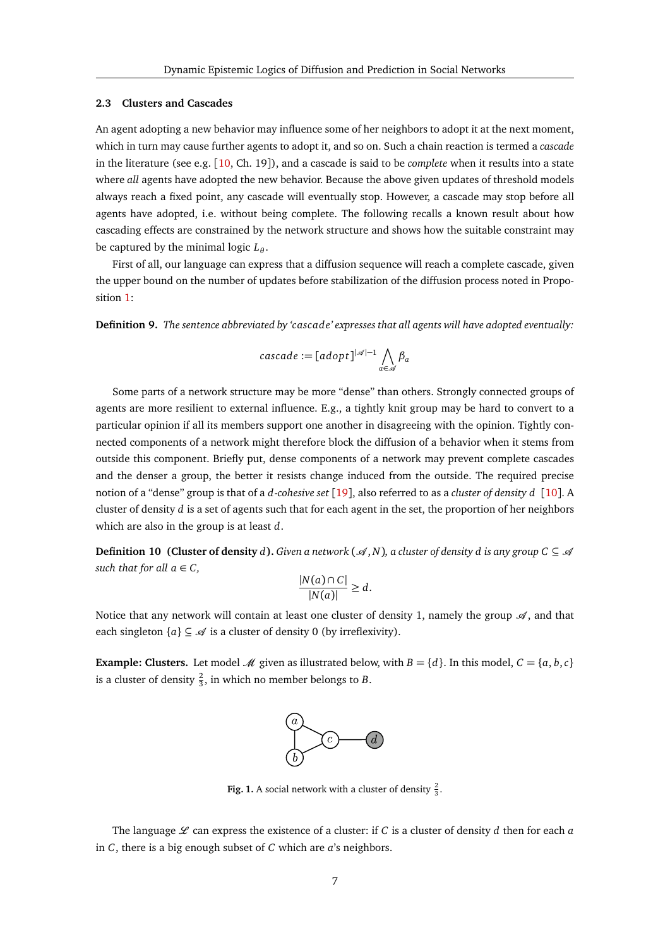#### <span id="page-6-0"></span>**2.3 Clusters and Cascades**

An agent adopting a new behavior may influence some of her neighbors to adopt it at the next moment, which in turn may cause further agents to adopt it, and so on. Such a chain reaction is termed a *cascade* in the literature (see e.g. [[10,](#page-27-0) Ch. 19]), and a cascade is said to be *complete* when it results into a state where *all* agents have adopted the new behavior. Because the above given updates of threshold models always reach a fixed point, any cascade will eventually stop. However, a cascade may stop before all agents have adopted, i.e. without being complete. The following recalls a known result about how cascading effects are constrained by the network structure and shows how the suitable constraint may be captured by the minimal logic  $L_{\theta}$ .

First of all, our language can express that a diffusion sequence will reach a complete cascade, given the upper bound on the number of updates before stabilization of the diffusion process noted in Propo-sition [1:](#page-2-1)

<span id="page-6-2"></span>**Definition 9.** *The sentence abbreviated by 'cascade' expresses that all agents will have adopted eventually:*

$$
cascade := [adopt]^{|\mathcal{A}|-1} \bigwedge_{a \in \mathcal{A}} \beta_a
$$

Some parts of a network structure may be more "dense" than others. Strongly connected groups of agents are more resilient to external influence. E.g., a tightly knit group may be hard to convert to a particular opinion if all its members support one another in disagreeing with the opinion. Tightly connected components of a network might therefore block the diffusion of a behavior when it stems from outside this component. Briefly put, dense components of a network may prevent complete cascades and the denser a group, the better it resists change induced from the outside. The required precise notion of a "dense" group is that of a *d*-*cohesive set* [[19](#page-27-4)], also referred to as a *cluster of density d* [[10](#page-27-0)]. A cluster of density *d* is a set of agents such that for each agent in the set, the proportion of her neighbors which are also in the group is at least *d*.

**Definition 10 (Cluster of density** *d*). Given a network  $(\mathcal{A}, N)$ , a cluster of density *d* is any group  $C \subseteq \mathcal{A}$ *such that for all*  $a \in C$ *,* 

$$
\frac{|N(a) \cap C|}{|N(a)|} \ge d.
$$

Notice that any network will contain at least one cluster of density 1, namely the group  $\mathcal{A}$ , and that each singleton  $\{a\} \subseteq \mathcal{A}$  is a cluster of density 0 (by irreflexivity).

**Example: Clusters.** Let model *M* given as illustrated below, with  $B = \{d\}$ . In this model,  $C = \{a, b, c\}$ is a cluster of density  $\frac{2}{3}$ , in which no member belongs to *B*.



**Fig. 1.** A social network with a cluster of density  $\frac{2}{3}$ .

<span id="page-6-1"></span>The language  $L$  can express the existence of a cluster: if *C* is a cluster of density *d* then for each *a* in *C*, there is a big enough subset of *C* which are *a*'s neighbors.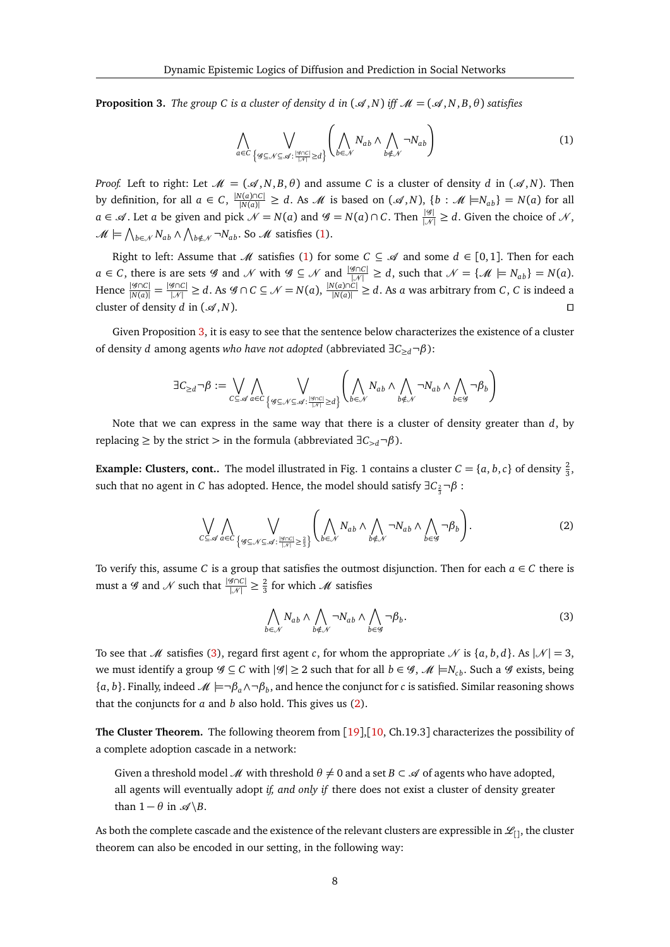**Proposition 3.** The group C is a cluster of density d in  $(\mathcal{A}, N)$  iff  $\mathcal{M} = (\mathcal{A}, N, B, \theta)$  satisfies

<span id="page-7-0"></span>
$$
\bigwedge_{a \in C} \bigvee_{\left\{ g \subseteq \mathcal{N} \subseteq \mathcal{A} : \frac{|g \cap C|}{|\mathcal{N}|} \ge d \right\}} \left( \bigwedge_{b \in \mathcal{N}} N_{ab} \wedge \bigwedge_{b \notin \mathcal{N}} \neg N_{ab} \right) \tag{1}
$$

*Proof.* Left to right: Let  $\mathcal{M} = (\mathcal{A}, N, B, \theta)$  and assume *C* is a cluster of density *d* in  $(\mathcal{A}, N)$ . Then by definition, for all  $a \in C$ ,  $\frac{|N(a) \cap C|}{|N(a)|} \ge d$ . As *M* is based on  $(\mathcal{A}, N)$ ,  $\{b : \mathcal{M} \models N_{ab}\} = N(a)$  for all *a* ∈  $\mathcal{A}$ . Let *a* be given and pick  $\mathcal{N} = N(a)$  and  $\mathcal{G} = N(a) \cap C$ . Then  $\frac{|\mathcal{G}|}{|\mathcal{M}|} \ge d$ . Given the choice of  $\mathcal{N}$ ,  $\mathcal{M} \models \bigwedge_{b \in \mathcal{N}} N_{ab} \wedge \bigwedge_{b \notin \mathcal{N}} \neg N_{ab}$ . So  $\mathcal{M}$  satisfies [\(1\)](#page-7-0).

Right to left: Assume that *M* satisfies [\(1\)](#page-7-0) for some  $C \subseteq \mathcal{A}$  and some  $d \in [0,1]$ . Then for each *a* ∈ *C*, there is are sets G and N with  $G \subseteq N$  and  $\frac{|G \cap C|}{|N|} \ge d$ , such that  $N = \{M \models N_{ab}\} = N(a)$ . Hence  $\frac{|\mathscr{G}\cap C|}{|N(a)|} = \frac{|\mathscr{G}\cap C|}{|\mathscr{N}|} \ge d$ . As  $\mathscr{G}\cap C \subseteq \mathscr{N} = N(a)$ ,  $\frac{|N(a)\cap C|}{|N(a)|} \ge d$ . As a was arbitrary from C, C is indeed a cluster of density *d* in  $(\mathcal{A}, N)$ .

Given Proposition [3,](#page-6-1) it is easy to see that the sentence below characterizes the existence of a cluster of density *d* among agents *who have not adopted* (abbreviated ∃*C*<sup>≥</sup>*d*¬*β*):

$$
\exists C_{\geq d} \neg \beta := \bigvee_{C \subseteq \mathscr{A}} \bigwedge_{a \in C} \bigvee_{\left\{ \mathscr{G} \subseteq \mathscr{N} \subseteq \mathscr{A} : \frac{|\mathscr{G} \cap C|}{|\mathscr{N}|} \geq d \right\}} \left( \bigwedge_{b \in \mathscr{N}} N_{ab} \land \bigwedge_{b \notin \mathscr{N}} \neg N_{ab} \land \bigwedge_{b \in \mathscr{G}} \neg \beta_{b} \right)
$$

Note that we can express in the same way that there is a cluster of density greater than *d*, by replacing  $\geq$  by the strict  $>$  in the formula (abbreviated  $\exists C_{>d} \neg \beta$ ).

**Example: Clusters, cont..** The model illustrated in Fig. 1 contains a cluster  $C = \{a, b, c\}$  of density  $\frac{2}{3}$ , such that no agent in *C* has adopted. Hence, the model should satisfy  $\exists C_{\frac{2}{3}} \neg \beta$ :

<span id="page-7-2"></span>
$$
\bigvee_{C \subseteq \mathscr{A}} \bigwedge_{a \in C} \bigvee_{\{g \subseteq \mathscr{N} \subseteq \mathscr{A} : \frac{|g \cap C|}{|\mathscr{N}|} \geq \frac{2}{3}\}} \left( \bigwedge_{b \in \mathscr{N}} N_{ab} \wedge \bigwedge_{b \notin \mathscr{N}} \neg N_{ab} \wedge \bigwedge_{b \in \mathscr{G}} \neg \beta_b \right).
$$
 (2)

To verify this, assume *C* is a group that satisfies the outmost disjunction. Then for each  $a \in C$  there is must a *G* and  $N$  such that  $\frac{|G \cap C|}{|N|} \ge \frac{2}{3}$  for which  $M$  satisfies

<span id="page-7-1"></span>
$$
\bigwedge_{b \in \mathcal{N}} N_{ab} \wedge \bigwedge_{b \notin \mathcal{N}} \neg N_{ab} \wedge \bigwedge_{b \in \mathcal{G}} \neg \beta_b. \tag{3}
$$

To see that M satisfies [\(3\)](#page-7-1), regard first agent *c*, for whom the appropriate N is  $\{a, b, d\}$ . As  $|\mathcal{N}| = 3$ , we must identify a group  $\mathcal{G} \subseteq C$  with  $|\mathcal{G}| \geq 2$  such that for all  $b \in \mathcal{G}$ ,  $\mathcal{M} \models N_{cb}$ . Such a  $\mathcal{G}$  exists, being  $\{a, b\}$ . Finally, indeed  $\mathcal{M} \models \neg \beta_a \land \neg \beta_b$ , and hence the conjunct for *c* is satisfied. Similar reasoning shows that the conjuncts for *a* and *b* also hold. This gives us [\(2\)](#page-7-2).

<span id="page-7-3"></span>**The Cluster Theorem.** The following theorem from [[19](#page-27-4)],[[10,](#page-27-0) Ch.19.3] characterizes the possibility of a complete adoption cascade in a network:

Given a threshold model M with threshold  $\theta \neq 0$  and a set  $B \subset \mathcal{A}$  of agents who have adopted, all agents will eventually adopt *if, and only if* there does not exist a cluster of density greater than  $1 - \theta$  in  $\mathscr{A} \backslash B$ .

As both the complete cascade and the existence of the relevant clusters are expressible in  $\mathcal{L}_{[}$ , the cluster theorem can also be encoded in our setting, in the following way: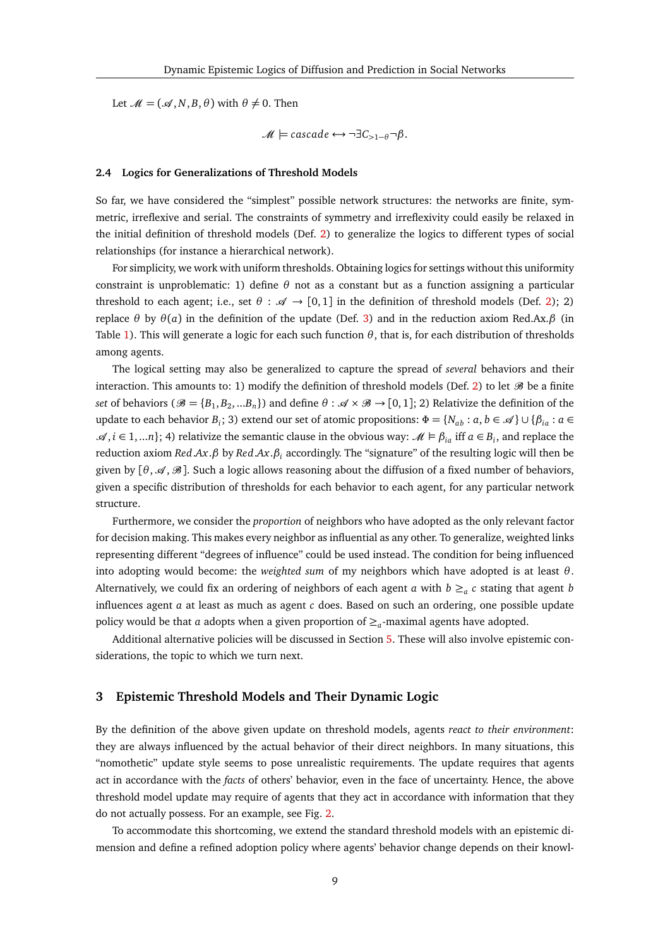Let  $\mathcal{M} = (\mathcal{A}, N, B, \theta)$  with  $\theta \neq 0$ . Then

 $\mathcal{M} \models$  cascade  $\leftrightarrow \neg \exists C_{>1-\theta} \neg \beta$ .

#### <span id="page-8-1"></span>**2.4 Logics for Generalizations of Threshold Models**

So far, we have considered the "simplest" possible network structures: the networks are finite, symmetric, irreflexive and serial. The constraints of symmetry and irreflexivity could easily be relaxed in the initial definition of threshold models (Def. [2\)](#page-2-2) to generalize the logics to different types of social relationships (for instance a hierarchical network).

For simplicity, we work with uniform thresholds. Obtaining logics for settings without this uniformity constraint is unproblematic: 1) define *θ* not as a constant but as a function assigning a particular threshold to each agent; i.e., set  $\theta$ :  $\mathscr{A} \to [0, 1]$  in the definition of threshold models (Def. [2\)](#page-2-2); 2) replace *θ* by *θ*(*a*) in the definition of the update (Def. [3\)](#page-2-0) and in the reduction axiom Red.Ax.*β* (in Table [1\)](#page-5-0). This will generate a logic for each such function *θ*, that is, for each distribution of thresholds among agents.

The logical setting may also be generalized to capture the spread of *several* behaviors and their interaction. This amounts to: 1) modify the definition of threshold models (Def. [2\)](#page-2-2) to let  $\mathcal{B}$  be a finite *set* of behaviors ( $\mathscr{B} = \{B_1, B_2, ...B_n\}$ ) and define  $\theta : \mathscr{A} \times \mathscr{B} \to [0,1]$ ; 2) Relativize the definition of the update to each behavior  $B_i$ ; 3) extend our set of atomic propositions:  $\Phi = \{N_{ab} : a, b \in \mathcal{A}\}\cup \{\beta_{ia} : a \in A\}$  $\mathscr{A}, i \in 1,...n$ ; 4) relativize the semantic clause in the obvious way:  $\mathscr{M} \models \beta_{ia}$  iff  $a \in B_i$ , and replace the reduction axiom *Red*.*Ax*.*β* by *Red*.*Ax*.*β<sup>i</sup>* accordingly. The "signature" of the resulting logic will then be given by  $[\theta, \mathcal{A}, \mathcal{B}]$ . Such a logic allows reasoning about the diffusion of a fixed number of behaviors, given a specific distribution of thresholds for each behavior to each agent, for any particular network structure.

Furthermore, we consider the *proportion* of neighbors who have adopted as the only relevant factor for decision making. This makes every neighbor as influential as any other. To generalize, weighted links representing different "degrees of influence" could be used instead. The condition for being influenced into adopting would become: the *weighted sum* of my neighbors which have adopted is at least *θ*. Alternatively, we could fix an ordering of neighbors of each agent  $a$  with  $b \geq_a c$  stating that agent  $b$ influences agent *a* at least as much as agent *c* does. Based on such an ordering, one possible update policy would be that *a* adopts when a given proportion of ≥*<sup>a</sup>* -maximal agents have adopted.

Additional alternative policies will be discussed in Section [5.](#page-22-0) These will also involve epistemic considerations, the topic to which we turn next.

## <span id="page-8-0"></span>**3 Epistemic Threshold Models and Their Dynamic Logic**

By the definition of the above given update on threshold models, agents *react to their environment*: they are always influenced by the actual behavior of their direct neighbors. In many situations, this "nomothetic" update style seems to pose unrealistic requirements. The update requires that agents act in accordance with the *facts* of others' behavior, even in the face of uncertainty. Hence, the above threshold model update may require of agents that they act in accordance with information that they do not actually possess. For an example, see Fig. [2.](#page-9-0)

To accommodate this shortcoming, we extend the standard threshold models with an epistemic dimension and define a refined adoption policy where agents' behavior change depends on their knowl-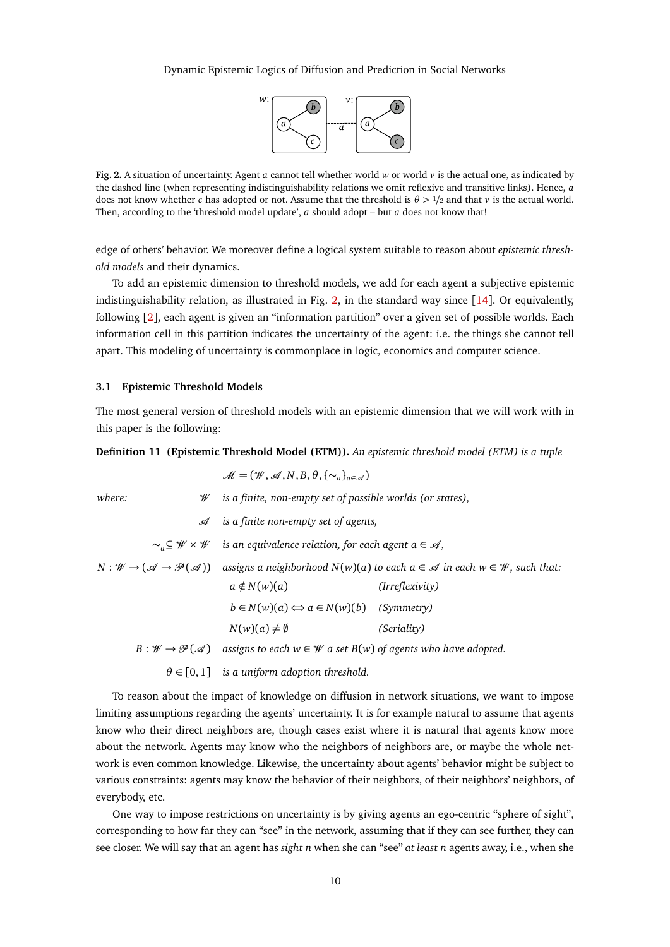

<span id="page-9-0"></span>**Fig. 2.** A situation of uncertainty. Agent *a* cannot tell whether world *w* or world *v* is the actual one, as indicated by the dashed line (when representing indistinguishability relations we omit reflexive and transitive links). Hence, *a* does not know whether *c* has adopted or not. Assume that the threshold is *θ >* <sup>1</sup>*/*<sup>2</sup> and that *v* is the actual world. Then, according to the 'threshold model update', *a* should adopt – but *a* does not know that!

edge of others' behavior. We moreover define a logical system suitable to reason about *epistemic threshold models* and their dynamics.

To add an epistemic dimension to threshold models, we add for each agent a subjective epistemic indistinguishability relation, as illustrated in Fig. [2,](#page-9-0) in the standard way since [[14](#page-27-16)]. Or equivalently, following [[2](#page-27-17)], each agent is given an "information partition" over a given set of possible worlds. Each information cell in this partition indicates the uncertainty of the agent: i.e. the things she cannot tell apart. This modeling of uncertainty is commonplace in logic, economics and computer science.

## **3.1 Epistemic Threshold Models**

The most general version of threshold models with an epistemic dimension that we will work with in this paper is the following:

#### **Definition 11 (Epistemic Threshold Model (ETM)).** *An epistemic threshold model (ETM) is a tuple*

|        | $\mathcal{M} = (\mathcal{W}, \mathcal{A}, N, B, \theta, {\{\sim_a\}}_{a \in \mathcal{A}})$             |                                                                                                                                                             |
|--------|--------------------------------------------------------------------------------------------------------|-------------------------------------------------------------------------------------------------------------------------------------------------------------|
| where: | $\mathcal W$ is a finite, non-empty set of possible worlds (or states),                                |                                                                                                                                                             |
|        | $\mathcal A$ is a finite non-empty set of agents,                                                      |                                                                                                                                                             |
|        | $\sim_a \subseteq W \times W$ is an equivalence relation, for each agent $a \in \mathcal{A}$ ,         |                                                                                                                                                             |
|        |                                                                                                        | $N: W \to (\mathcal{A} \to \mathcal{P}(\mathcal{A}))$ assigns a neighborhood $N(w)(a)$ to each $a \in \mathcal{A}$ in each $w \in \mathcal{W}$ , such that: |
|        | $a \notin N(w)(a)$                                                                                     | ( <i>Irreflexivity</i> )                                                                                                                                    |
|        | $b \in N(w)(a) \Longleftrightarrow a \in N(w)(b)$ (Symmetry)                                           |                                                                                                                                                             |
|        | $N(w)(a) \neq \emptyset$                                                                               | (Seriality)                                                                                                                                                 |
|        | $B: W \to \mathcal{P}(\mathcal{A})$ assigns to each $w \in W$ a set $B(w)$ of agents who have adopted. |                                                                                                                                                             |
|        | $\theta \in [0,1]$ is a uniform adoption threshold.                                                    |                                                                                                                                                             |

To reason about the impact of knowledge on diffusion in network situations, we want to impose limiting assumptions regarding the agents' uncertainty. It is for example natural to assume that agents know who their direct neighbors are, though cases exist where it is natural that agents know more about the network. Agents may know who the neighbors of neighbors are, or maybe the whole network is even common knowledge. Likewise, the uncertainty about agents' behavior might be subject to various constraints: agents may know the behavior of their neighbors, of their neighbors' neighbors, of everybody, etc.

One way to impose restrictions on uncertainty is by giving agents an ego-centric "sphere of sight", corresponding to how far they can "see" in the network, assuming that if they can see further, they can see closer. We will say that an agent has *sight n* when she can "see" *at least n* agents away, i.e., when she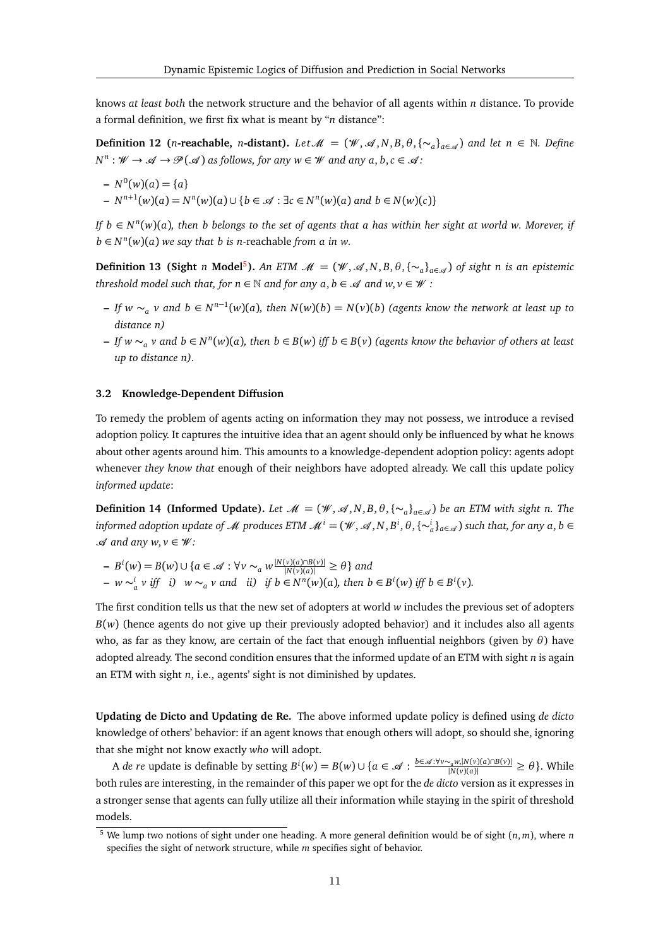knows *at least both* the network structure and the behavior of all agents within *n* distance. To provide a formal definition, we first fix what is meant by "*n* distance":

**Definition 12** (*n*-reachable, *n*-distant). *Let*  $M = (\mathcal{W}, \mathcal{A}, N, B, \theta, \{\sim_a\}_{a \in \mathcal{A}})$  and let  $n \in \mathbb{N}$ . Define  $N^n$ :  $W \to \mathscr{A} \to \mathscr{P}(\mathscr{A})$  as follows, for any  $w \in \mathscr{W}$  and any  $a, b, c \in \mathscr{A}$ :

$$
- N^{0}(w)(a) = \{a\}
$$
  
- N<sup>n+1</sup>(w)(a) = N<sup>n</sup>(w)(a)  $\cup$  {b  $\in \mathcal{A}$  :  $\exists c \in N^{n}(w)(a)$  and  $b \in N(w)(c)$ }

*If*  $b \in N^n(w)(a)$ *, then b belongs to the set of agents that a has within her sight at world w. Morever, if*  $b \in N^n(w)(a)$  *we say that b is n*-reachable *from a in w.* 

**Definition 13 (Sight** *n* **Model<sup>[5](#page-10-0)</sup>).** *An ETM*  $\mathcal{M} = (\mathcal{W}, \mathcal{A}, N, B, \theta, \{\sim_a\}_{a \in \mathcal{A}})$  of sight *n* is an epistemic *threshold model such that, for n*  $\in \mathbb{N}$  *and for any a, b*  $\in \mathcal{A}$  *and w, v*  $\in \mathcal{W}$  *:* 

- *– If*  $w \sim_a v$  and  $b \in N^{n-1}(w)(a)$ , then  $N(w)(b) = N(v)(b)$  (agents know the network at least up to *distance n)*
- **–** *If w* ∼*<sup>a</sup> v and b* ∈ *N n* (*w*)(*a*)*, then b* ∈ *B*(*w*) *iff b* ∈ *B*(*v*) *(agents know the behavior of others at least up to distance n).*

#### <span id="page-10-2"></span>**3.2 Knowledge-Dependent Diffusion**

To remedy the problem of agents acting on information they may not possess, we introduce a revised adoption policy. It captures the intuitive idea that an agent should only be influenced by what he knows about other agents around him. This amounts to a knowledge-dependent adoption policy: agents adopt whenever *they know that* enough of their neighbors have adopted already. We call this update policy *informed update*:

<span id="page-10-1"></span>**Definition 14 (Informed Update).** *Let*  $\mathcal{M} = (\mathcal{W}, \mathcal{A}, N, B, \theta, \{\sim_a\}_{a \in \mathcal{A}})$  be an ETM with sight n. The  $i$  *informed adoption update of*  $\mathscr M$  *produces ETM*  $\mathscr M^i=(\mathscr W,\mathscr A,N,B^i,\theta,\{\sim^i_a\}_{a\in\mathscr A})$  *such that, for any*  $a,b\in\mathscr A$ A *and any w*, *v* ∈ W *:*

 $P = B^i(w) = B(w) \cup \{a \in \mathcal{A} : \forall v \sim_a w \frac{|N(v)(a) \cap B(v)|}{|N(v)(a)|} \ge \theta \}$  and  $- w \sim_a^i v$  iff i)  $w \sim_a v$  and ii) if  $b \in N^n(w)(a)$ , then  $b \in B^i(w)$  iff  $b \in B^i(v)$ .

The first condition tells us that the new set of adopters at world *w* includes the previous set of adopters  $B(w)$  (hence agents do not give up their previously adopted behavior) and it includes also all agents who, as far as they know, are certain of the fact that enough influential neighbors (given by *θ*) have adopted already. The second condition ensures that the informed update of an ETM with sight *n* is again an ETM with sight *n*, i.e., agents' sight is not diminished by updates.

**Updating de Dicto and Updating de Re.** The above informed update policy is defined using *de dicto* knowledge of others' behavior: if an agent knows that enough others will adopt, so should she, ignoring that she might not know exactly *who* will adopt.

A de re update is definable by setting  $B^i(w) = B(w) \cup \{a \in \mathcal{A} : \frac{b \in \mathcal{A}: \forall v \sim_a w, |N(v)(a) \cap B(v)|}{|N(v)(a)|} \ge \theta\}$ . While both rules are interesting, in the remainder of this paper we opt for the *de dicto* version as it expresses in a stronger sense that agents can fully utilize all their information while staying in the spirit of threshold models.

<span id="page-10-0"></span> $5$  We lump two notions of sight under one heading. A more general definition would be of sight  $(n, m)$ , where *n* specifies the sight of network structure, while *m* specifies sight of behavior.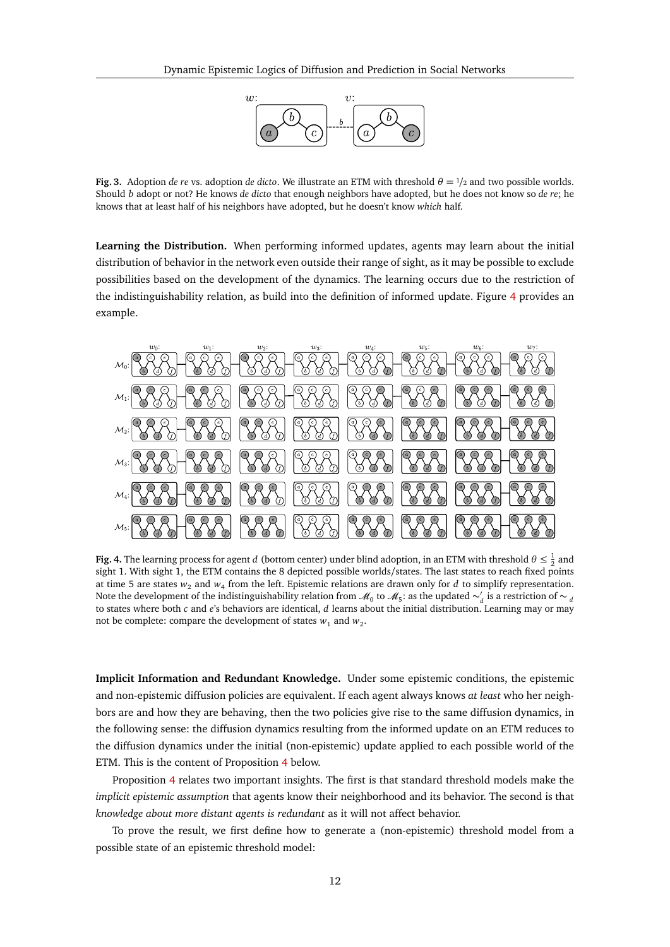

**Fig. 3.** Adoption *de re* vs. adoption *de dicto*. We illustrate an ETM with threshold  $\theta = \frac{1}{2}$  and two possible worlds. Should *b* adopt or not? He knows *de dicto* that enough neighbors have adopted, but he does not know so *de re*; he knows that at least half of his neighbors have adopted, but he doesn't know *which* half.

**Learning the Distribution.** When performing informed updates, agents may learn about the initial distribution of behavior in the network even outside their range of sight, as it may be possible to exclude possibilities based on the development of the dynamics. The learning occurs due to the restriction of the indistinguishability relation, as build into the definition of informed update. Figure [4](#page-11-0) provides an example.



<span id="page-11-0"></span>**Fig. 4.** The learning process for agent *d* (bottom center) under blind adoption, in an ETM with threshold  $\theta \leq \frac{1}{2}$  and sight 1. With sight 1, the ETM contains the 8 depicted possible worlds/states. The last states to reach fixed points at time 5 are states  $w_2$  and  $w_4$  from the left. Epistemic relations are drawn only for *d* to simplify representation. Note the development of the indistinguishability relation from  $M_0$  to  $M_5$ : as the updated  $\sim_d'$  is a restriction of  $\sim_d$ to states where both *c* and *e*'s behaviors are identical, *d* learns about the initial distribution. Learning may or may not be complete: compare the development of states  $w_1$  and  $w_2$ .

**Implicit Information and Redundant Knowledge.** Under some epistemic conditions, the epistemic and non-epistemic diffusion policies are equivalent. If each agent always knows *at least* who her neighbors are and how they are behaving, then the two policies give rise to the same diffusion dynamics, in the following sense: the diffusion dynamics resulting from the informed update on an ETM reduces to the diffusion dynamics under the initial (non-epistemic) update applied to each possible world of the ETM. This is the content of Proposition [4](#page-12-0) below.

Proposition [4](#page-12-0) relates two important insights. The first is that standard threshold models make the *implicit epistemic assumption* that agents know their neighborhood and its behavior. The second is that *knowledge about more distant agents is redundant* as it will not affect behavior.

<span id="page-11-1"></span>To prove the result, we first define how to generate a (non-epistemic) threshold model from a possible state of an epistemic threshold model: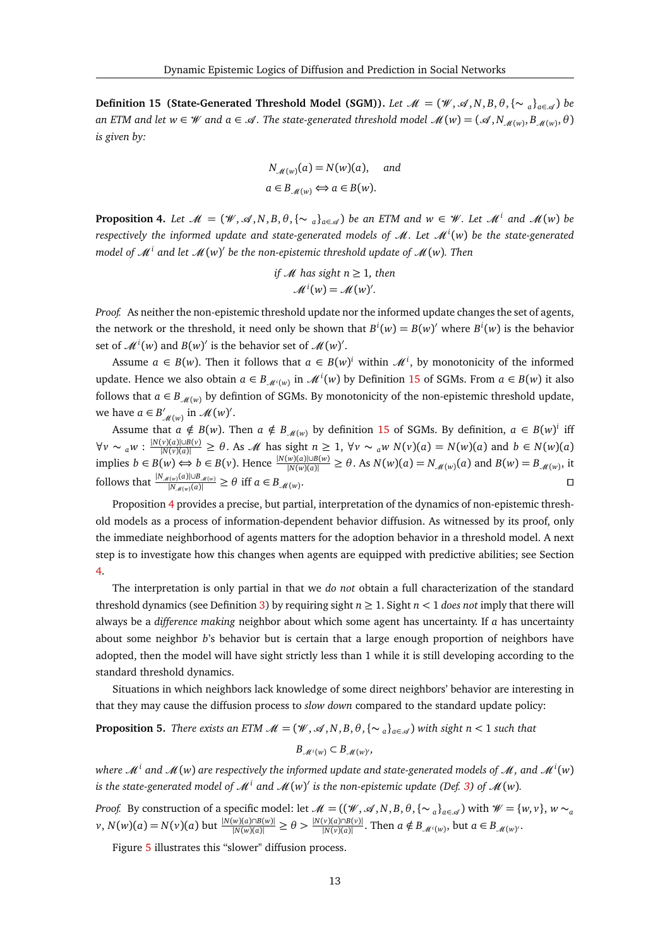**Definition 15 (State-Generated Threshold Model (SGM)).** *Let*  $\mathcal{M} = (\mathcal{W}, \mathcal{A}, N, B, \theta, {\sim_a\}_{a \in \mathcal{A}})$  *be*  $a$ n ETM and let  $w \in W$  and  $a \in \mathscr{A}$ . The state-generated threshold model  $\mathscr{M}(w) = (\mathscr{A}, N_{\mathscr{M}(w)}, B_{\mathscr{M}(w)}, \theta)$ *is given by:*

$$
N_{\mathcal{M}(w)}(a) = N(w)(a), \text{ and}
$$
  

$$
a \in B_{\mathcal{M}(w)} \Longleftrightarrow a \in B(w).
$$

<span id="page-12-0"></span>**Proposition 4.** Let  $\mathcal{M} = (\mathcal{W}, \mathcal{A}, N, B, \theta, \{\sim_a\}_{a \in \mathcal{A}})$  be an ETM and  $w \in \mathcal{W}$ . Let  $\mathcal{M}^i$  and  $\mathcal{M}(w)$  be  $r$  respectively the informed update and state-generated models of  $\mathscr{M}.$  Let  $\mathscr{M}^i(w)$  be the state-generated model of  $\mathscr{M}^i$  and let  $\mathscr{M}(w)'$  be the non-epistemic threshold update of  $\mathscr{M}(w)$ . Then

if *M* has sight 
$$
n \ge 1
$$
, then  

$$
\mathcal{M}^{i}(w) = \mathcal{M}(w)^{l}.
$$

*Proof.* As neither the non-epistemic threshold update nor the informed update changes the set of agents, the network or the threshold, it need only be shown that  $B^i(w) = B(w)'$  where  $B^i(w)$  is the behavior set of  $\mathcal{M}^i(w)$  and  $B(w)'$  is the behavior set of  $\mathcal{M}(w)'$ .

Assume  $a \in B(w)$ . Then it follows that  $a \in B(w)^i$  within  $\mathcal{M}^i$ , by monotonicity of the informed update. Hence we also obtain  $a \in B_{\mathcal{M}^i(w)}$  in  $\mathcal{M}^i(w)$  by Definition [15](#page-11-1) of SGMs. From  $a \in B(w)$  it also follows that  $a \in B_{\mathcal{M}(w)}$  by defintion of SGMs. By monotonicity of the non-epistemic threshold update, we have  $a \in B'_{\mathcal{M}(w)}$  in  $\mathcal{M}(w)'$ .

Assume that  $a \notin B(w)$ . Then  $a \notin B_{\mathcal{M}(w)}$  by definition [15](#page-11-1) of SGMs. By definition,  $a \in B(w)^i$  iff  $\forall v \sim_a w : \frac{|N(v)(a)|\cup B(v)}{|N(v)(a)|} \ge \theta$ . As *M* has sight  $n \ge 1$ ,  $\forall v \sim_a w N(v)(a) = N(w)(a)$  and  $b \in N(w)(a)$ implies  $b \in B(w) \Leftrightarrow b \in B(v)$ . Hence  $\frac{|N(w)(a)| \cup B(w)}{|N(w)(a)|} \ge \theta$ . As  $N(w)(a) = N_{\mathcal{M}(w)}(a)$  and  $B(w) = B_{\mathcal{M}(w)}$ , it follows that  $\frac{|N_{\mathcal{M}(w)}(a)|\cup B_{\mathcal{M}(w)}}{|N_{\mathcal{M}(w)}(a)|}$  $\frac{H((w)(a)|\cup B_{\mathcal{M}(w)}}{|N_{\mathcal{M}(w)}(a)|} \geq \theta$  iff  $a \in B_{\mathcal{M}(w)}$ . Utilization of the contract of the contract of the contract of the contract of the contract of the contract of the contract of the contract of the contract of the contract of the contract of the contract of the contract

Proposition [4](#page-12-0) provides a precise, but partial, interpretation of the dynamics of non-epistemic threshold models as a process of information-dependent behavior diffusion. As witnessed by its proof, only the immediate neighborhood of agents matters for the adoption behavior in a threshold model. A next step is to investigate how this changes when agents are equipped with predictive abilities; see Section [4.](#page-17-0)

The interpretation is only partial in that we *do not* obtain a full characterization of the standard threshold dynamics (see Definition [3\)](#page-2-0) by requiring sight  $n \geq 1$ . Sight  $n < 1$  *does not* imply that there will always be a *difference making* neighbor about which some agent has uncertainty. If *a* has uncertainty about some neighbor *b*'s behavior but is certain that a large enough proportion of neighbors have adopted, then the model will have sight strictly less than 1 while it is still developing according to the standard threshold dynamics.

Situations in which neighbors lack knowledge of some direct neighbors' behavior are interesting in that they may cause the diffusion process to *slow down* compared to the standard update policy:

## <span id="page-12-1"></span>**Proposition 5.** *There exists an ETM*  $\mathcal{M} = (\mathcal{W}, \mathcal{A}, N, B, \theta, \{\sim_a\}_{a \in \mathcal{A}})$  *with sight n* < 1 *such that*  $B_{\mathcal{M}^i(w)} \subset B_{\mathcal{M}(w)},$

where  $\mathscr{M}^i$  and  $\mathscr{M}(w)$  are respectively the informed update and state-generated models of  $\mathscr{M},$  and  $\mathscr{M}^i(w)$ is the state-generated model of  $\mathscr{M}^i$  and  $\mathscr{M}(w)'$  is the non-epistemic update (Def. [3\)](#page-2-0) of  $\mathscr{M}(w)$ .

*Proof.* By construction of a specific model: let  $\mathcal{M} = ((\mathcal{W}, \mathcal{A}, N, B, \theta, {\{\sim_{a}\}}_{a \in \mathcal{A}})$  with  $\mathcal{W} = \{w, v\}, w \sim_{a}$  $v, N(w)(a) = N(v)(a)$  but  $\frac{|N(w)(a) \cap B(w)|}{|N(w)(a)|} \ge \theta > \frac{|N(v)(a) \cap B(v)|}{|N(v)(a)|}$ . Then  $a \notin B_{\mathcal{M}(w)}$ , but  $a \in B_{\mathcal{M}(w)}$ .

Figure [5](#page-13-0) illustrates this "slower" diffusion process.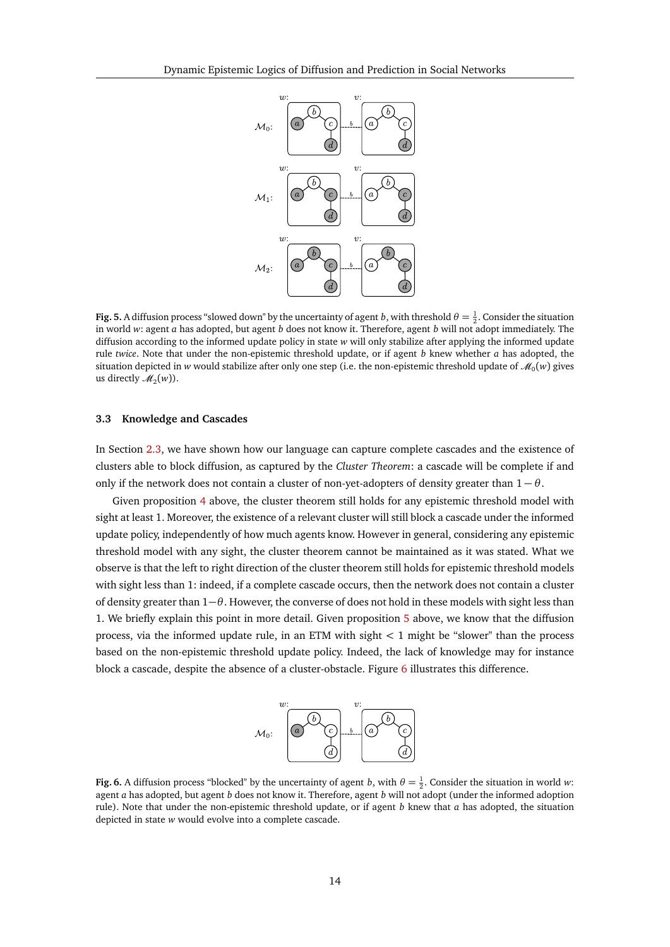

<span id="page-13-0"></span>**Fig. 5.** A diffusion process "slowed down" by the uncertainty of agent *b*, with threshold  $\theta = \frac{1}{2}$ . Consider the situation in world *w*: agent *a* has adopted, but agent *b* does not know it. Therefore, agent *b* will not adopt immediately. The diffusion according to the informed update policy in state *w* will only stabilize after applying the informed update rule *twice*. Note that under the non-epistemic threshold update, or if agent *b* knew whether *a* has adopted, the situation depicted in  $w$  would stabilize after only one step (i.e. the non-epistemic threshold update of  $\mathscr{M}_0(w)$  gives us directly  $\mathcal{M}_2(w)$ ).

## **3.3 Knowledge and Cascades**

In Section [2.3,](#page-6-0) we have shown how our language can capture complete cascades and the existence of clusters able to block diffusion, as captured by the *Cluster Theorem*: a cascade will be complete if and only if the network does not contain a cluster of non-yet-adopters of density greater than  $1 - \theta$ .

Given proposition [4](#page-12-0) above, the cluster theorem still holds for any epistemic threshold model with sight at least 1. Moreover, the existence of a relevant cluster will still block a cascade under the informed update policy, independently of how much agents know. However in general, considering any epistemic threshold model with any sight, the cluster theorem cannot be maintained as it was stated. What we observe is that the left to right direction of the cluster theorem still holds for epistemic threshold models with sight less than 1: indeed, if a complete cascade occurs, then the network does not contain a cluster of density greater than 1−*θ*. However, the converse of does not hold in these models with sight less than 1. We briefly explain this point in more detail. Given proposition [5](#page-12-1) above, we know that the diffusion process, via the informed update rule, in an ETM with sight *<* 1 might be "slower" than the process based on the non-epistemic threshold update policy. Indeed, the lack of knowledge may for instance block a cascade, despite the absence of a cluster-obstacle. Figure [6](#page-13-1) illustrates this difference.



<span id="page-13-1"></span>**Fig. 6.** A diffusion process "blocked" by the uncertainty of agent *b*, with  $\theta = \frac{1}{2}$ . Consider the situation in world *w*: agent *a* has adopted, but agent *b* does not know it. Therefore, agent *b* will not adopt (under the informed adoption rule). Note that under the non-epistemic threshold update, or if agent *b* knew that *a* has adopted, the situation depicted in state *w* would evolve into a complete cascade.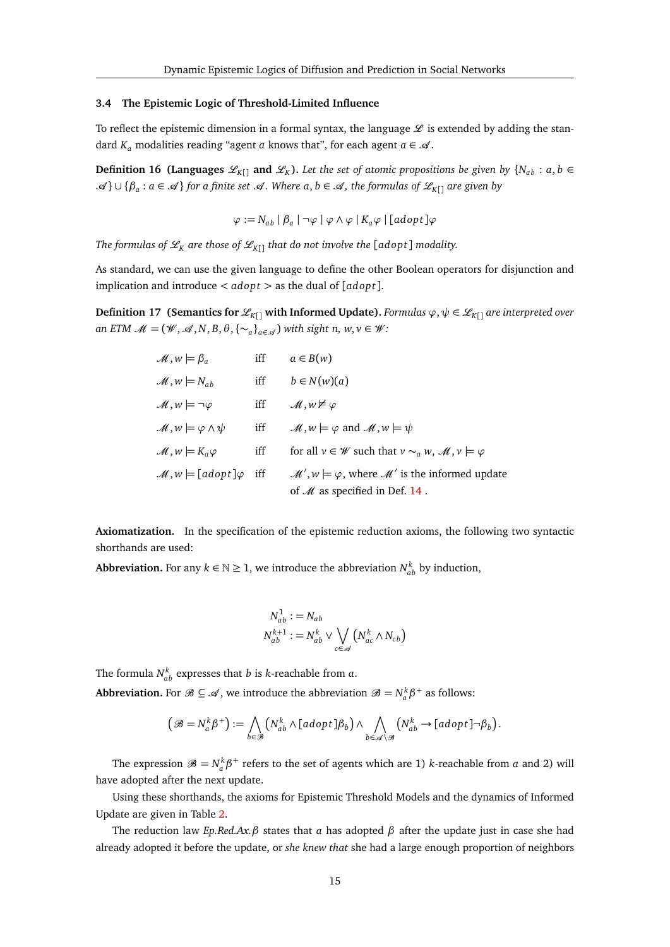## **3.4 The Epistemic Logic of Threshold-Limited Influence**

To reflect the epistemic dimension in a formal syntax, the language  $\mathscr L$  is extended by adding the standard  $K_a$  modalities reading "agent *a* knows that", for each agent  $a \in \mathcal{A}$ .

**Definition 16** (Languages  $\mathscr{L}_{K}$ <sub>[]</sub> and  $\mathscr{L}_{K}$ ). Let the set of atomic propositions be given by  $\{N_{ab} : a, b \in$ A } ∪ {*β<sup>a</sup>* : *<sup>a</sup>* ∈ A } *for a finite set* <sup>A</sup> *. Where a*, *<sup>b</sup>* ∈ A *, the formulas of* <sup>L</sup>*<sup>K</sup>*[] *are given by*

$$
\varphi := N_{ab} | \beta_a | \neg \varphi | \varphi \wedge \varphi | K_a \varphi | [adopt] \varphi
$$

*The formulas of*  $L_K$  *are those of*  $L_K$  *that do not involve the* [adopt] *modality.* 

As standard, we can use the given language to define the other Boolean operators for disjunction and implication and introduce *< adop t >* as the dual of [*adop t*].

<span id="page-14-0"></span>**Definition 17 (Semantics for**  $\mathcal{L}_{K[1]}$  **with Informed Update).** *Formulas*  $\varphi, \psi \in \mathcal{L}_{K[1]}$  *are interpreted over an ETM*  $\mathcal{M} = (\mathcal{W}, \mathcal{A}, N, B, \theta, {\{\sim_a\}}_{a \in \mathcal{A}})$  *with sight n, w,v*  $\in \mathcal{W}$ *:* 

| $\mathcal{M}, w \models \beta_a$             | iff | $a \in B(w)$                                                                                                       |
|----------------------------------------------|-----|--------------------------------------------------------------------------------------------------------------------|
| $\mathcal{M}, w \models N_{ab}$              | iff | $b \in N(w)(a)$                                                                                                    |
| $\mathscr{M}, w \models \neg \varphi$        | iff | $\mathcal{M}, w \nvDash \varphi$                                                                                   |
| $\mathcal{M}, w \models \varphi \land \psi$  | iff | $\mathcal{M}, w \models \varphi$ and $\mathcal{M}, w \models \psi$                                                 |
| $\mathcal{M}, w \models K_a \varphi$         | iff | for all $v \in W$ such that $v \sim_a w$ , $\mathcal{M}, v \models \varphi$                                        |
| $\mathcal{M}, w \models [adopt] \varphi$ iff |     | $\mathcal{M}', w \models \varphi$ , where $\mathcal{M}'$ is the informed update<br>of $M$ as specified in Def. 14. |

**Axiomatization.** In the specification of the epistemic reduction axioms, the following two syntactic shorthands are used:

**Abbreviation.** For any  $k \in \mathbb{N} \geq 1$ , we introduce the abbreviation  $N_{ab}^k$  by induction,

$$
N_{ab}^1 := N_{ab}
$$
  

$$
N_{ab}^{k+1} := N_{ab}^k \vee \bigvee_{c \in \mathscr{A}} (N_{ac}^k \wedge N_{cb})
$$

The formula  $N_{ab}^k$  expresses that *b* is *k*-reachable from *a*.

**Abbreviation.** For  $\mathcal{B} \subseteq \mathcal{A}$ , we introduce the abbreviation  $\mathcal{B} = N_a^k \beta^+$  as follows:

$$
\left(\mathcal{B}=N_a^k\beta^+\right):=\bigwedge_{b\in\mathcal{B}}\left(N_{ab}^k\wedge\left[adopt\right]\beta_b\right)\wedge\bigwedge_{b\in\mathcal{A}\setminus\mathcal{B}}\left(N_{ab}^k\to\left[adopt\right]\neg\beta_b\right).
$$

The expression  $\mathcal{B} = N_a^k \beta^+$  refers to the set of agents which are 1) *k*-reachable from *a* and 2) will have adopted after the next update.

Using these shorthands, the axioms for Epistemic Threshold Models and the dynamics of Informed Update are given in Table [2.](#page-15-0)

The reduction law *Ep.Red.Ax.β* states that *a* has adopted *β* after the update just in case she had already adopted it before the update, or *she knew that* she had a large enough proportion of neighbors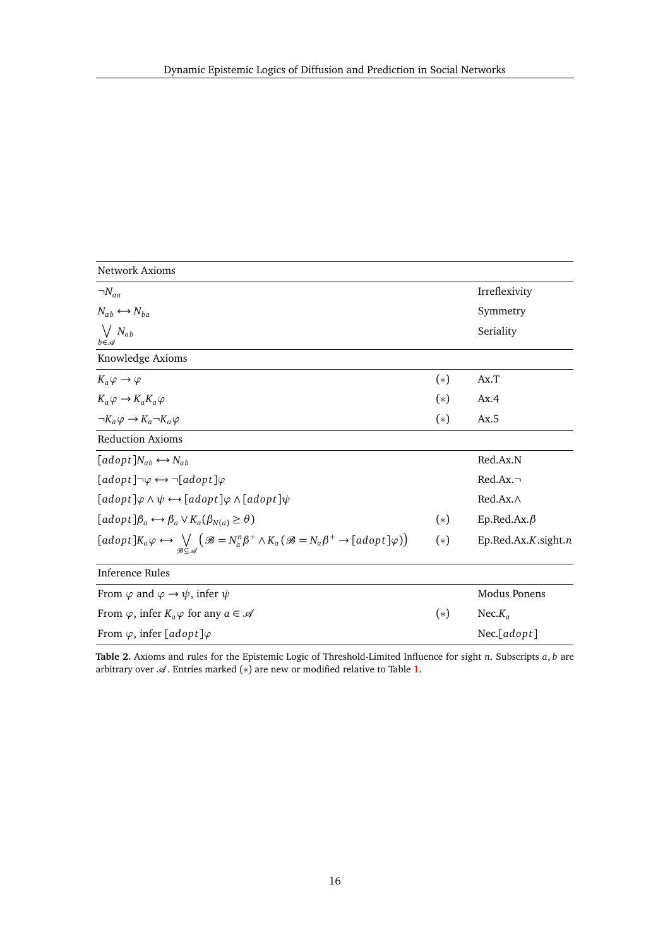| <b>Network Axioms</b>                                                                                                                          |       |                     |
|------------------------------------------------------------------------------------------------------------------------------------------------|-------|---------------------|
| $\neg N_{aa}$                                                                                                                                  |       | Irreflexivity       |
| $N_{ab} \leftrightarrow N_{ba}$                                                                                                                |       | Symmetry            |
| $\bigvee N_{ab}$<br>$b \in \mathcal{A}$                                                                                                        |       | Seriality           |
| Knowledge Axioms                                                                                                                               |       |                     |
| $K_a \varphi \to \varphi$                                                                                                                      | $(*)$ | Ax.T                |
| $K_a \varphi \to K_a K_a \varphi$                                                                                                              | $(*)$ | Ax.4                |
| $\neg K_a \varphi \rightarrow K_a \neg K_a \varphi$                                                                                            | $(*)$ | Ax.5                |
| <b>Reduction Axioms</b>                                                                                                                        |       |                     |
| $[adopt]N_{ab} \leftrightarrow N_{ab}$                                                                                                         |       | Red.Ax.N            |
| $[adopt] \neg \varphi \leftrightarrow \neg [adopt] \varphi$                                                                                    |       | $Red.Ax.~\neg$      |
| $[adopt] \varphi \wedge \psi \leftrightarrow [adopt] \varphi \wedge [adopt] \psi$                                                              |       | $Red.Ax.\wedge$     |
| $[adopt]\beta_a \leftrightarrow \beta_a \vee K_a(\beta_{N(a)} \geq \theta)$                                                                    | $(*)$ | Ep.Red.Ax. $\beta$  |
| $[adopt] K_a \varphi \leftrightarrow \bigvee (\mathcal{B} = N_a^n \beta^+ \wedge K_a (\mathcal{B} = N_a \beta^+ \rightarrow [adopt] \varphi))$ | $(*)$ | Ep.Red.Ax.K.sight.n |
| Inference Rules                                                                                                                                |       |                     |
| From $\varphi$ and $\varphi \to \psi$ , infer $\psi$                                                                                           |       | Modus Ponens        |
| From $\varphi$ , infer $K_a \varphi$ for any $a \in \mathcal{A}$                                                                               | $(*)$ | Nec. $K_a$          |
| From $\varphi$ , infer [adopt] $\varphi$                                                                                                       |       | $Nec$ [ $adopt$ ]   |

<span id="page-15-0"></span>**Table 2.** Axioms and rules for the Epistemic Logic of Threshold-Limited Influence for sight *n*. Subscripts *a*, *b* are arbitrary over  $\mathcal A$ . Entries marked  $(*)$  are new or modified relative to Table [1.](#page-5-0)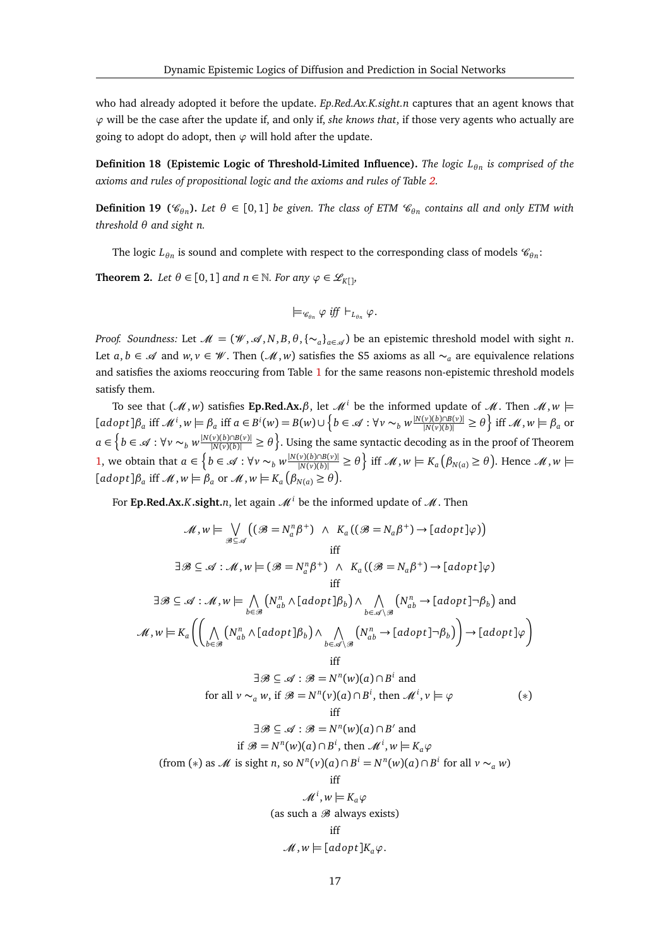who had already adopted it before the update. *Ep.Red.Ax.K.sight.n* captures that an agent knows that *ϕ* will be the case after the update if, and only if, *she knows that*, if those very agents who actually are going to adopt do adopt, then  $\varphi$  will hold after the update.

**Definition 18 (Epistemic Logic of Threshold-Limited Influence).** *The logic L<sup>θ</sup> <sup>n</sup> is comprised of the axioms and rules of propositional logic and the axioms and rules of Table [2.](#page-15-0)*

**Definition 19**  $(\mathscr{C}_{\theta n})$ . Let  $\theta \in [0,1]$  be given. The class of ETM  $\mathscr{C}_{\theta n}$  contains all and only ETM with *threshold θ and sight n.*

The logic  $L_{\theta n}$  is sound and complete with respect to the corresponding class of models  $\mathscr{C}_{\theta n}$ :

**Theorem 2.** *Let*  $\theta \in [0, 1]$  *and*  $n \in \mathbb{N}$ *. For any*  $\varphi \in \mathcal{L}_{K[1]}$ *,* 

<span id="page-16-0"></span>
$$
\models_{\mathcal{C}_{\theta n}} \varphi \text{ iff } \vdash_{L_{\theta n}} \varphi.
$$

*Proof. Soundness:* Let  $\mathcal{M} = (\mathcal{W}, \mathcal{A}, N, B, \theta, {\{\sim_a\}}_{a \in \mathcal{A}})$  be an epistemic threshold model with sight *n*. Let *a*, *b* ∈  $\mathcal{A}$  and *w*, *v* ∈  $\mathcal{W}$ . Then ( $\mathcal{M}$ , *w*) satisfies the S5 axioms as all  $\sim_a$  are equivalence relations and satisfies the axioms reoccuring from Table [1](#page-5-0) for the same reasons non-epistemic threshold models satisfy them.

To see that  $(\mathcal{M}, w)$  satisfies **Ep.Red.Ax.** $\beta$ , let  $\mathcal{M}^i$  be the informed update of  $\mathcal{M}$ . Then  $\mathcal{M}, w \models$  $[adopt]\beta_a$  iff  $\mathcal{M}^i, w \models \beta_a$  iff  $a \in B^i(w) = B(w) \cup \left\{b \in \mathcal{A} : \forall v \sim_b w \frac{|N(v)(b) \cap B(v)|}{|N(v)(b)|} \ge \theta \right\}$  iff  $\mathcal{M}, w \models \beta_a$  or  $a \in \left\{b \in \mathscr{A} : \forall v \sim_b w \frac{|N(v)(b) \cap B(v)|}{|N(v)(b)|} \ge \theta\right\}$ . Using the same syntactic decoding as in the proof of Theorem [1,](#page-5-2) we obtain that  $a \in \left\{b \in \mathcal{A} : \forall v \sim_b w \frac{|N(v)(b) \cap B(v)|}{|N(v)(b)|} \ge \theta\right\}$  iff  $\mathcal{M}, w \models K_a(\beta_{N(a)} \ge \theta)$ . Hence  $\mathcal{M}, w \models$  $[adopt]\beta_a$  iff  $\mathcal{M}, w \models \beta_a$  or  $\mathcal{M}, w \models K_a(\beta_{N(a)} \ge \theta).$ 

For **Ep.Red.Ax.***K***.sight.***n*, let again  $\mathcal{M}^i$  be the informed update of  $\mathcal{M}$ . Then

$$
\mathcal{M}, w \models \bigvee_{\mathcal{B} \subseteq \mathcal{A}} ((\mathcal{B} = N_a^n \beta^+) \land K_a ((\mathcal{B} = N_a \beta^+) \rightarrow [adopt] \varphi))
$$
\niff  
\n
$$
\exists \mathcal{B} \subseteq \mathcal{A} : \mathcal{M}, w \models (\mathcal{B} = N_a^n \beta^+) \land K_a ((\mathcal{B} = N_a \beta^+) \rightarrow [adopt] \varphi)
$$
\niff  
\n
$$
\exists \mathcal{B} \subseteq \mathcal{A} : \mathcal{M}, w \models \bigwedge_{b \in \mathcal{B}} (N_{ab}^n \land [adopt] \beta_b) \land \bigwedge_{b \in \mathcal{A} \setminus \mathcal{B}} (N_{ab}^n \rightarrow [adopt] \neg \beta_b) \text{ and}
$$
\n
$$
\mathcal{M}, w \models K_a \left( \bigwedge_{b \in \mathcal{B}} (N_{ab}^n \land [adopt] \beta_b) \land \bigwedge_{b \in \mathcal{A} \setminus \mathcal{B}} (N_{ab}^n \rightarrow [adopt] \neg \beta_b) \right) \rightarrow [adopt] \varphi \right)
$$
\niff  
\n
$$
\exists \mathcal{B} \subseteq \mathcal{A} : \mathcal{B} = N^n(w)(a) \cap B^i \text{ and}
$$
\nfor all  $v \sim_a w$ , if  $\mathcal{B} = N^n(v)(a) \cap B^i$ , then  $\mathcal{M}^i, v \models \varphi$  (\*)  
\niff  
\n
$$
\exists \mathcal{B} \subseteq \mathcal{A} : \mathcal{B} = N^n(w)(a) \cap B^i \text{ and}
$$
\nif  $\mathcal{B} = N^n(w)(a) \cap B^i$ , then  $\mathcal{M}^i, w \models K_a \varphi$   
\n(from (\*) as  $\mathcal{M}$  is sight n, so  $N^n(v)(a) \cap B^i = N^n(w)(a) \cap B^i$  for all  $v \sim_a w$ )  
\niff  
\n
$$
\mathcal{M}^i, w \models K_a \varphi
$$
\n(as such a  $\mathcal{B}$  always exists)  
\niff  
\n
$$
\mathcal{M}, w \models [adopt] K_a \varphi.
$$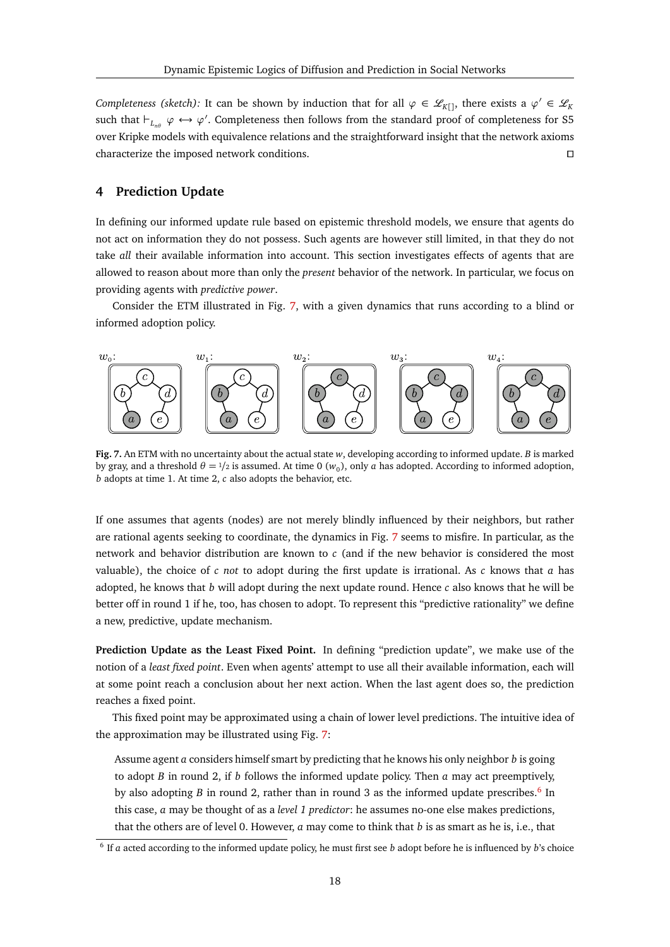*Completeness (sketch):* It can be shown by induction that for all  $\varphi \in \mathcal{L}_{K[1]}$ , there exists a  $\varphi' \in \mathcal{L}_K$ such that  $\vdash_{L_{n\theta}} \varphi \leftrightarrow \varphi'$ . Completeness then follows from the standard proof of completeness for S5 over Kripke models with equivalence relations and the straightforward insight that the network axioms characterize the imposed network conditions. ut

## <span id="page-17-0"></span>**4 Prediction Update**

In defining our informed update rule based on epistemic threshold models, we ensure that agents do not act on information they do not possess. Such agents are however still limited, in that they do not take *all* their available information into account. This section investigates effects of agents that are allowed to reason about more than only the *present* behavior of the network. In particular, we focus on providing agents with *predictive power*.

Consider the ETM illustrated in Fig. [7,](#page-17-1) with a given dynamics that runs according to a blind or informed adoption policy.



<span id="page-17-1"></span>**Fig. 7.** An ETM with no uncertainty about the actual state *w*, developing according to informed update. *B* is marked by gray, and a threshold  $\theta = 1/2$  is assumed. At time 0 ( $w_0$ ), only *a* has adopted. According to informed adoption, *b* adopts at time 1. At time 2, *c* also adopts the behavior, etc.

If one assumes that agents (nodes) are not merely blindly influenced by their neighbors, but rather are rational agents seeking to coordinate, the dynamics in Fig. [7](#page-17-1) seems to misfire. In particular, as the network and behavior distribution are known to *c* (and if the new behavior is considered the most valuable), the choice of *c not* to adopt during the first update is irrational. As *c* knows that *a* has adopted, he knows that *b* will adopt during the next update round. Hence *c* also knows that he will be better off in round 1 if he, too, has chosen to adopt. To represent this "predictive rationality" we define a new, predictive, update mechanism.

**Prediction Update as the Least Fixed Point.** In defining "prediction update", we make use of the notion of a *least fixed point*. Even when agents' attempt to use all their available information, each will at some point reach a conclusion about her next action. When the last agent does so, the prediction reaches a fixed point.

This fixed point may be approximated using a chain of lower level predictions. The intuitive idea of the approximation may be illustrated using Fig. [7:](#page-17-1)

Assume agent *a* considers himself smart by predicting that he knows his only neighbor *b* is going to adopt *B* in round 2, if *b* follows the informed update policy. Then *a* may act preemptively, by also adopting *B* in round 2, rather than in round 3 as the informed update prescribes.<sup>[6](#page-17-2)</sup> In this case, *a* may be thought of as a *level 1 predictor*: he assumes no-one else makes predictions, that the others are of level 0. However, *a* may come to think that *b* is as smart as he is, i.e., that

<span id="page-17-2"></span><sup>6</sup> If *a* acted according to the informed update policy, he must first see *b* adopt before he is influenced by *b*'s choice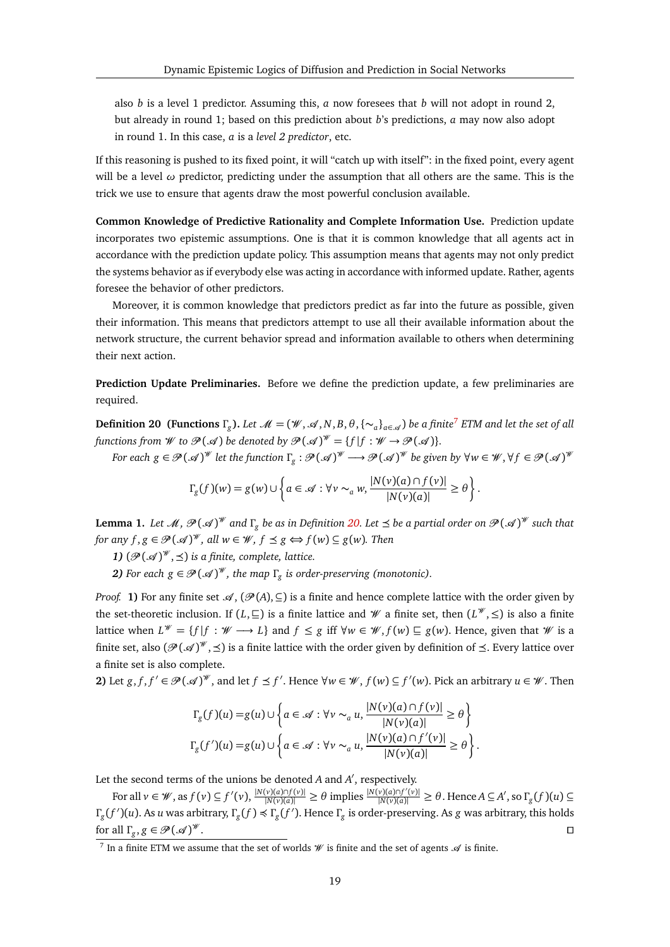also *b* is a level 1 predictor. Assuming this, *a* now foresees that *b* will not adopt in round 2, but already in round 1; based on this prediction about *b*'s predictions, *a* may now also adopt in round 1. In this case, *a* is a *level 2 predictor*, etc.

If this reasoning is pushed to its fixed point, it will "catch up with itself": in the fixed point, every agent will be a level *ω* predictor, predicting under the assumption that all others are the same. This is the trick we use to ensure that agents draw the most powerful conclusion available.

**Common Knowledge of Predictive Rationality and Complete Information Use.** Prediction update incorporates two epistemic assumptions. One is that it is common knowledge that all agents act in accordance with the prediction update policy. This assumption means that agents may not only predict the systems behavior as if everybody else was acting in accordance with informed update. Rather, agents foresee the behavior of other predictors.

Moreover, it is common knowledge that predictors predict as far into the future as possible, given their information. This means that predictors attempt to use all their available information about the network structure, the current behavior spread and information available to others when determining their next action.

**Prediction Update Preliminaries.** Before we define the prediction update, a few preliminaries are required.

<span id="page-18-1"></span>**Definition 20** (Functions  $\Gamma_g$ ). Let  $\mathcal{M} = (\mathcal{W}, \mathcal{A}, N, B, \theta, \{\sim_a\}_{a \in \mathcal{A}})$  be a finite<sup>[7](#page-18-0)</sup> ETM and let the set of all *functions from*  $W$  *to*  $\mathcal{P}(\mathcal{A})$  *be denoted by*  $\mathcal{P}(\mathcal{A})^W = \{f | f : W \rightarrow \mathcal{P}(\mathcal{A})\}.$ 

*For each*  $g \in \mathscr{P}(\mathscr{A})^{\mathscr{W}}$  *let the function*  $\Gamma_g : \mathscr{P}(\mathscr{A})^{\mathscr{W}} \longrightarrow \mathscr{P}(\mathscr{A})^{\mathscr{W}}$  *be given by*  $\forall w \in \mathscr{W}, \forall f \in \mathscr{P}(\mathscr{A})^{\mathscr{W}}$ 

$$
\Gamma_g(f)(w) = g(w) \cup \left\{ a \in \mathcal{A} : \forall v \sim_a w, \frac{|N(v)(a) \cap f(v)|}{|N(v)(a)|} \geq \theta \right\}.
$$

<span id="page-18-2"></span>**Lemma 1.** Let  $\mathscr{M}, \mathscr{P}(\mathscr{A})^{\mathscr{W}}$  and  $\Gamma_g$  be as in Definition [20.](#page-18-1) Let  $\preceq$  be a partial order on  $\mathscr{P}(\mathscr{A})^{\mathscr{W}}$  such that *for any*  $f, g \in \mathcal{P}(\mathcal{A})^{\mathcal{W}},$  all  $w \in \mathcal{W}, f \preceq g \Leftrightarrow f(w) \subseteq g(w)$ . Then

**1)**  $(\mathcal{P}(\mathcal{A})^{\mathcal{W}}, \preceq)$  is a finite, complete, lattice.

*2)* For each  $g \in \mathcal{P}(\mathcal{A})^{\mathcal{W}}$ , the map  $\Gamma_g$  is order-preserving (monotonic).

*Proof.* **1)** For any finite set  $\mathscr{A}, (\mathscr{P}(A), \subseteq)$  is a finite and hence complete lattice with the order given by the set-theoretic inclusion. If  $(L, \subseteq)$  is a finite lattice and W a finite set, then  $(L^{\mathcal{W}}, \leq)$  is also a finite lattice when  $L^{\mathscr{W}} = \{f | f : \mathscr{W} \longrightarrow L\}$  and  $f \leq g$  iff  $\forall w \in \mathscr{W}, f(w) \sqsubseteq g(w)$ . Hence, given that  $\mathscr{W}$  is a finite set, also  $(\mathscr{P}(\mathscr{A})^\mathscr{W}, \preceq)$  is a finite lattice with the order given by definition of  $\preceq$ . Every lattice over a finite set is also complete.

**2)** Let *g*, *f*, *f*<sup> $'$ </sup> ∈  $\mathcal{P}(\mathcal{A})^{\mathcal{W}}$ , and let *f* ≤ *f*<sup> $'$ </sup>. Hence ∀*w* ∈  $\mathcal{W}$ , *f*(*w*) ⊆ *f*<sup> $'$ </sup>(*w*). Pick an arbitrary *u* ∈  $\mathcal{W}$ . Then

$$
\Gamma_g(f)(u) = g(u) \cup \left\{ a \in \mathcal{A} : \forall v \sim_a u, \frac{|N(v)(a) \cap f(v)|}{|N(v)(a)|} \ge \theta \right\}
$$
  

$$
\Gamma_g(f')(u) = g(u) \cup \left\{ a \in \mathcal{A} : \forall v \sim_a u, \frac{|N(v)(a) \cap f'(v)|}{|N(v)(a)|} \ge \theta \right\}.
$$

Let the second terms of the unions be denoted *A* and *A'*, respectively.

For all  $v \in W$ , as  $f(v) \subseteq f'(v)$ ,  $\frac{|N(v)(a) \cap f(v)|}{|N(v)(a)|} \ge \theta$  implies  $\frac{|N(v)(a) \cap f'(v)|}{|N(v)(a)|} \ge \theta$ . Hence  $A \subseteq A'$ , so  $\Gamma_g(f)(u) \subseteq$ *Γ*<sub>*g*</sub>(*f*)(*u*). As *u* was arbitrary, Γ<sub>*g*</sub>(*f*) ≼ Γ<sub>*g*</sub>(*f*). Hence Γ<sub>*g*</sub> is order-preserving. As *g* was arbitrary, this holds for all  $\Gamma_g$ ,  $g \in \mathcal{P}(\mathcal{A})$  $\mathscr{W}$ .

<span id="page-18-3"></span><span id="page-18-0"></span><sup>&</sup>lt;sup>7</sup> In a finite ETM we assume that the set of worlds  $W$  is finite and the set of agents  $\mathcal A$  is finite.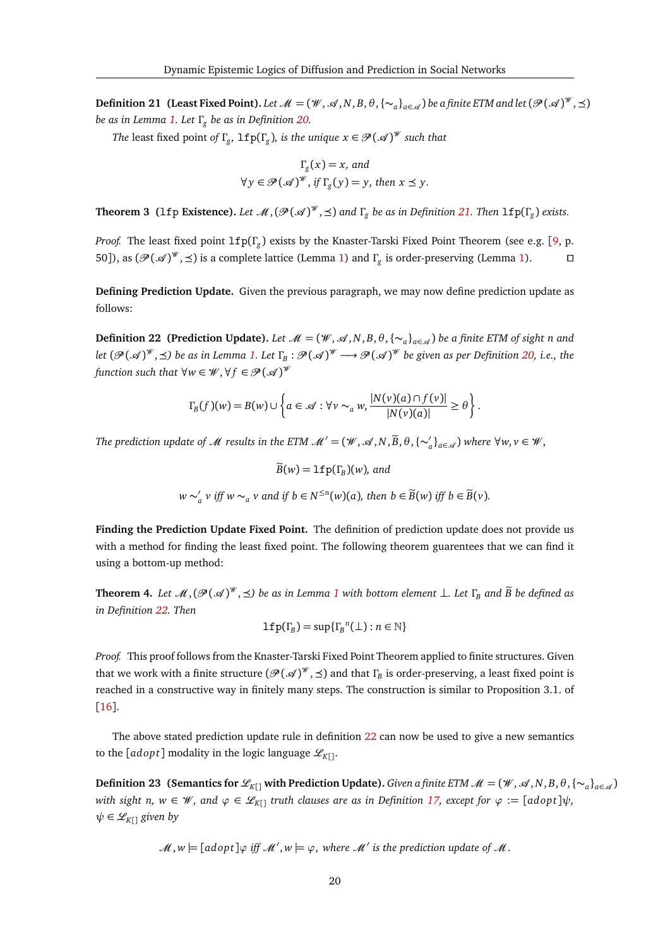**Definition 21 (Least Fixed Point).** Let  $\mathcal{M} = (\mathcal{W}, \mathcal{A}, N, B, \theta, \{\sim_a\}_{a \in \mathcal{A}})$  be a finite ETM and let  $(\mathcal{P}(\mathcal{A})^{\mathcal{W}}, \preceq)$ *be as in Lemma [1.](#page-18-2) Let Γ<sup>g</sup> be as in Definition [20.](#page-18-1)*

*The* least fixed point *of*  $\Gamma_g$ ,  $\mathtt{lfp}(\Gamma_g)$ , *is the unique*  $x \in \mathcal{P}(\mathcal{A})^{\mathcal{W}}$  *such that* 

$$
\Gamma_g(x) = x, \text{ and}
$$
  

$$
\forall y \in \mathcal{P}(\mathcal{A})^{\mathcal{W}}, \text{ if } \Gamma_g(y) = y, \text{ then } x \leq y.
$$

<span id="page-19-2"></span>**Theorem 3** (1fp **Existence**). Let  $\mathcal{M}, (\mathcal{P}(\mathcal{A})^{\mathcal{W}}, \preceq)$  and  $\Gamma_g$  be as in Definition [21.](#page-18-3) Then  $\text{lfp}(\Gamma_g)$  exists.

*Proof.* The least fixed point lfp(*Γ<sup>g</sup>* ) exists by the Knaster-Tarski Fixed Point Theorem (see e.g. [[9,](#page-27-18) p. 50]), as  $(\mathcal{P}(\mathcal{A})^{w}, \preceq)$  is a complete lattice (Lemma [1\)](#page-18-2) and *Γ*<sub>*g*</sub> is order-preserving (Lemma 1). □

**Defining Prediction Update.** Given the previous paragraph, we may now define prediction update as follows:

<span id="page-19-0"></span>**Definition 22 (Prediction Update).** *Let*  $\mathcal{M} = (\mathcal{W}, \mathcal{A}, N, B, \theta, \{\sim_a\}_{a \in \mathcal{A}})$  be a finite ETM of sight n and  $\ell$ et  $(\mathscr{P}(\mathscr{A})^\mathscr{W}, \preceq)$  be as in Lemma [1.](#page-18-2) Let  $\Gamma_{\!B}:\mathscr{P}(\mathscr{A})^\mathscr{W}\longrightarrow \mathscr{P}(\mathscr{A})^\mathscr{W}$  be given as per Definition [20,](#page-18-1) i.e., the *function such that*  $\forall w \in \mathscr{W}, \forall f \in \mathscr{P}(\mathscr{A})^{\mathscr{W}}$ 

$$
\Gamma_B(f)(w) = B(w) \cup \left\{ a \in \mathcal{A} : \forall v \sim_a w, \frac{|N(v)(a) \cap f(v)|}{|N(v)(a)|} \geq \theta \right\}.
$$

*The prediction update of*  $M$  *results in the ETM*  $M' = (\mathcal{W}, \mathcal{A}, N, \widetilde{B}, \theta, {\{\sim}_a'}_{a \in \mathcal{A}})$  *where*  $\forall w, v \in \mathcal{W}$ *,* 

 $B(w) = \mathsf{lfp}(\Gamma_B)(w)$ *, and*  $w \sim'$ *a v* iff *w* ∼<sub>*a*</sub> *v* and if *b* ∈ *N*<sup>≤*n*</sup>(*w*)(*a*)*,* then *b* ∈ *B*̃(*w*) iff *b* ∈ *B*̃(*v*).

**Finding the Prediction Update Fixed Point.** The definition of prediction update does not provide us with a method for finding the least fixed point. The following theorem guarentees that we can find it using a bottom-up method:

<span id="page-19-1"></span>**Theorem 4.** Let  $\mathcal{M},(\mathcal{P}(\mathcal{A})^{w},\preceq)$  be as in Lemma [1](#page-18-2) with bottom element  $\perp$ . Let  $\Gamma_{B}$  and  $\widetilde{B}$  be defined as *in Definition [22.](#page-19-0) Then*

$$
\text{lfp}(\Gamma_B) = \sup{\{\Gamma_B}^n(\bot) : n \in \mathbb{N}\}\
$$

*Proof.* This proof follows from the Knaster-Tarski Fixed Point Theorem applied to finite structures. Given that we work with a finite structure ( $\mathscr{P}(\mathscr{A})^{\mathscr{W}},$  ≤) and that  $Γ_B$  is order-preserving, a least fixed point is reached in a constructive way in finitely many steps. The construction is similar to Proposition 3.1. of [[16](#page-27-19)].

The above stated prediction update rule in definition [22](#page-19-0) can now be used to give a new semantics to the [*adopt*] modality in the logic language  $\mathcal{L}_{K}$ <sub>[]</sub>.

**Definition 23 (Semantics for**  $\mathcal{L}_{K[}$ **] with Prediction Update).** *Given a finite ETM*  $\mathcal{M} = (\mathcal{W}, \mathcal{A}, N, B, \theta, \{\sim_a\}_{a \in \mathcal{A}})$ *with sight n, w*  $\in \mathcal{W}$ *, and*  $\varphi \in \mathcal{L}_{K}$  *truth clauses are as in Definition [17,](#page-14-0) except for*  $\varphi := [adopt]\psi$ *,*  $\psi \in \mathcal{L}_{K[1]}$  *given by* 

 $\mathscr{M}, w \models [adopt] \varphi \text{ iff } \mathscr{M}', w \models \varphi, \text{ where } \mathscr{M}' \text{ is the prediction update of } \mathscr{M}.$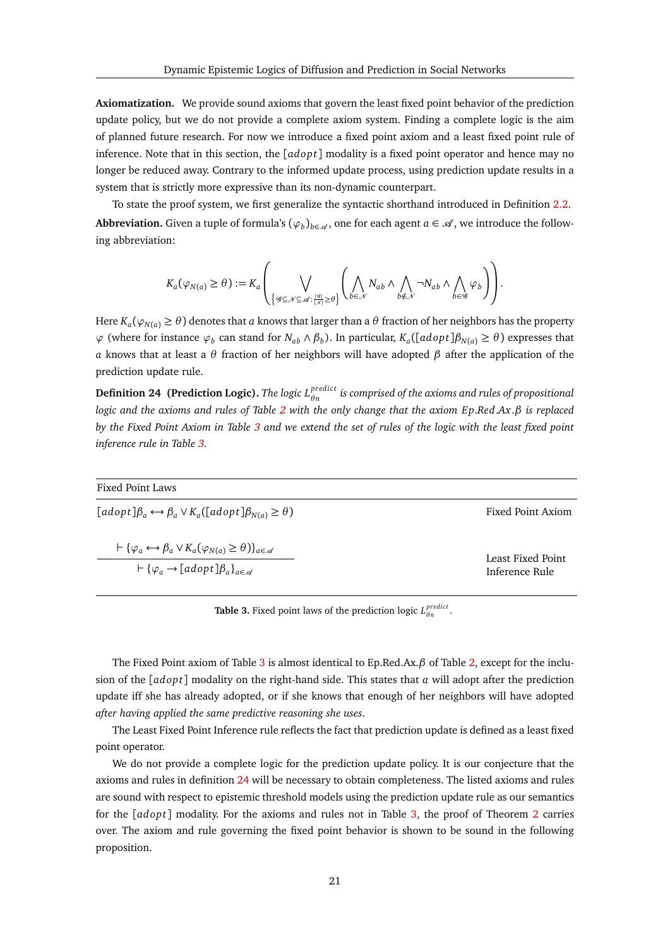**Axiomatization.** We provide sound axioms that govern the least fixed point behavior of the prediction update policy, but we do not provide a complete axiom system. Finding a complete logic is the aim of planned future research. For now we introduce a fixed point axiom and a least fixed point rule of inference. Note that in this section, the [*adop t*] modality is a fixed point operator and hence may no longer be reduced away. Contrary to the informed update process, using prediction update results in a system that is strictly more expressive than its non-dynamic counterpart.

To state the proof system, we first generalize the syntactic shorthand introduced in Definition [2.2.](#page-4-0) **Abbreviation.** Given a tuple of formula's  $(\varphi_b)_{b \in \mathcal{A}}$ , one for each agent  $a \in \mathcal{A}$ , we introduce the following abbreviation:

$$
K_a(\varphi_{N(a)}\geq \theta):=K_a\left(\bigvee_{\left\{\mathscr{G}\subseteq \mathscr{N}\subseteq \mathscr{A}:\frac{|\mathscr{G}|}{|\mathscr{N}|}\geq \theta\right\}}\left(\bigwedge_{b\in \mathscr{N}}N_{ab}\wedge\bigwedge_{b\notin \mathscr{N}}\neg N_{ab}\wedge\bigwedge_{b\in \mathscr{G}}\varphi_b\right)\right).
$$

Here  $K_a(\varphi_{N(a)} \ge \theta)$  denotes that *a* knows that larger than a  $\theta$  fraction of her neighbors has the property  $\varphi$  (where for instance  $\varphi_b$  can stand for  $N_{ab} \wedge \beta_b$ ). In particular,  $K_a([adopt]\beta_{N(a)} \ge \theta)$  expresses that *a* knows that at least a *θ* fraction of her neighbors will have adopted *β* after the application of the prediction update rule.

<span id="page-20-1"></span>**Definition 24 (Prediction Logic).** *The logic Lpredic t θ n is comprised of the axioms and rules of propositional logic and the axioms and rules of Table [2](#page-15-0) with the only change that the axiom E p*.*Red*.*Ax*.*β is replaced by the Fixed Point Axiom in Table [3](#page-20-0) and we extend the set of rules of the logic with the least fixed point inference rule in Table [3.](#page-20-0)*

| Fixed Point Laws                                                                                                                                                                                        |                                     |
|---------------------------------------------------------------------------------------------------------------------------------------------------------------------------------------------------------|-------------------------------------|
| $[adopt]\beta_a \leftrightarrow \beta_a \vee K_a([adopt]\beta_{N(a)} \ge \theta)$                                                                                                                       | Fixed Point Axiom                   |
| $\vdash \{\varphi_a \leftrightarrow \beta_a \vee K_a(\varphi_{N(a)} \geq \theta)\}_{a \in \mathscr{A}}$<br>$\vdash \{\varphi_a \rightarrow \lceil a d \text{opt} \rceil \beta_a \}_{a \in \mathscr{A}}$ | Least Fixed Point<br>Inference Rule |

<span id="page-20-0"></span>**Table 3.** Fixed point laws of the prediction logic  $L_{\theta n}^{predict}$ .

The Fixed Point axiom of Table [3](#page-20-0) is almost identical to Ep.Red.Ax.*β* of Table [2,](#page-15-0) except for the inclusion of the [*adop t*] modality on the right-hand side. This states that *a* will adopt after the prediction update iff she has already adopted, or if she knows that enough of her neighbors will have adopted *after having applied the same predictive reasoning she uses*.

The Least Fixed Point Inference rule reflects the fact that prediction update is defined as a least fixed point operator.

We do not provide a complete logic for the prediction update policy. It is our conjecture that the axioms and rules in definition [24](#page-20-1) will be necessary to obtain completeness. The listed axioms and rules are sound with respect to epistemic threshold models using the prediction update rule as our semantics for the [*adop t*] modality. For the axioms and rules not in Table [3,](#page-20-0) the proof of Theorem [2](#page-16-0) carries over. The axiom and rule governing the fixed point behavior is shown to be sound in the following proposition.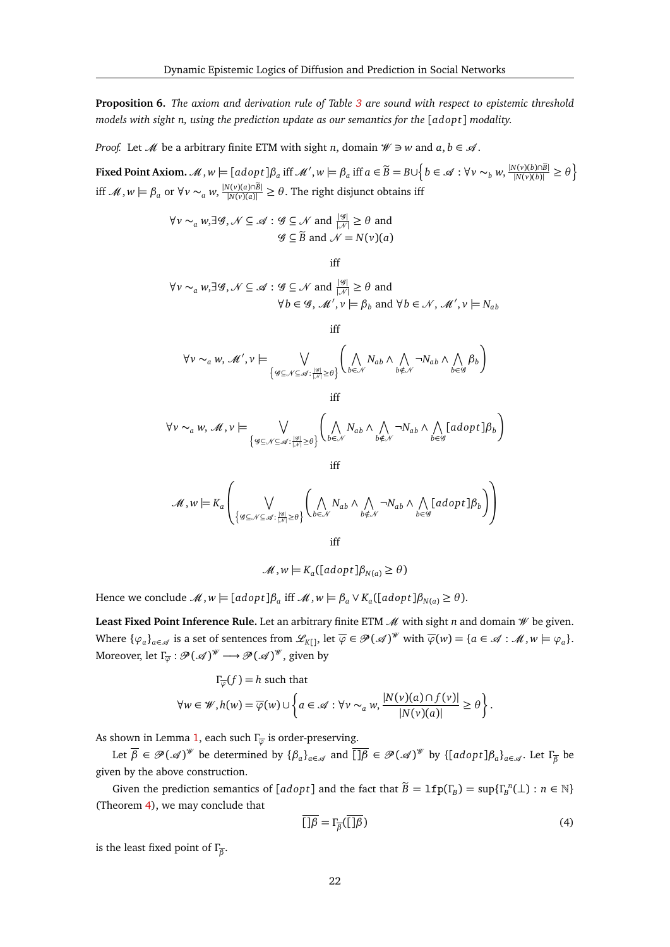**Proposition 6.** *The axiom and derivation rule of Table [3](#page-20-0) are sound with respect to epistemic threshold models with sight n, using the prediction update as our semantics for the* [*adop t*] *modality.*

*Proof.* Let *M* be a arbitrary finite ETM with sight *n*, domain  $W \ni w$  and  $a, b \in \mathcal{A}$ .

Fixed Point Axiom.  $M$ ,  $w \models [adopt]\beta_a$  iff  $M'$ ,  $w \models \beta_a$  iff  $a \in \widetilde{B} = B \cup \left\{b \in \mathcal{A} : \forall v \sim_b w, \frac{|N(v)(b) \cap \widetilde{B}|}{|N(v)(b)|} \ge \theta \right\}$ iff *M*, *w*  $\models$  *β*<sub>*a*</sub> or ∀*v* ∼<sub>*a*</sub> *w*,  $\frac{|N(v)(a) \cap \tilde{B}|}{|N(v)(a)|}$  ≥ *θ*. The right disjunct obtains iff

$$
\forall v \sim_a w, \exists \mathcal{G}, \mathcal{N} \subseteq \mathcal{A} : \mathcal{G} \subseteq \mathcal{N} \text{ and } \frac{|\mathcal{G}|}{|\mathcal{N}|} \ge \theta \text{ and}
$$

$$
\mathcal{G} \subseteq \widetilde{B} \text{ and } \mathcal{N} = N(v)(a)
$$

iff

 $\forall v \sim_a w, \exists \mathcal{G}, \mathcal{N} \subseteq \mathcal{A} : \mathcal{G} \subseteq \mathcal{N} \text{ and } \frac{|\mathcal{G}|}{|\mathcal{N}|} \geq \theta \text{ and }$  $\forall b \in \mathcal{G}, \mathcal{M}', v \models \beta_b \text{ and } \forall b \in \mathcal{N}, \mathcal{M}', v \models N_{ab}$ 

iff

$$
\forall v \sim_a w, \mathcal{M}', v \models \bigvee_{\{\mathscr{G} \subseteq \mathcal{N} \subseteq \mathcal{A} : \frac{|\mathscr{G}|}{|\mathscr{N}|} \ge \theta\}} \left( \bigwedge_{b \in \mathcal{N}} N_{ab} \land \bigwedge_{b \notin \mathcal{N}} \neg N_{ab} \land \bigwedge_{b \in \mathscr{G}} \beta_b \right)
$$

iff

$$
\forall v \sim_a w, \mathcal{M}, v \models \bigvee_{\left\{\mathcal{G} \subseteq \mathcal{N} \subseteq \mathcal{A} : \frac{|\mathcal{G}|}{|\mathcal{N}|} \ge \theta\right\}} \left(\bigwedge_{b \in \mathcal{N}} N_{ab} \land \bigwedge_{b \notin \mathcal{N}} \neg N_{ab} \land \bigwedge_{b \in \mathcal{G}} [adopt] \beta_b\right)
$$

iff

$$
\mathcal{M},w \models K_{a}\left(\bigvee_{\left\{\mathcal{G} \subseteq \mathcal{N} \subseteq \mathcal{A}:\, \frac{|\mathcal{G}|}{|\mathcal{N}|} \geq \theta\right\}} \left(\bigwedge_{b \in \mathcal{N}} N_{ab} \wedge \bigwedge_{b \notin \mathcal{N}} \neg N_{ab} \wedge \bigwedge_{b \in \mathcal{G}} [adopt] \beta_{b}\right)\right)
$$

iff

$$
\mathcal{M}, w \models K_a([adopt]\beta_{N(a)} \ge \theta)
$$

Hence we conclude  $\mathcal{M}, w \models [adopt] \beta_a$  iff  $\mathcal{M}, w \models \beta_a \vee K_a([adopt] \beta_{N(a)} \ge \theta).$ 

Least Fixed Point Inference Rule. Let an arbitrary finite ETM  $\mathcal M$  with sight *n* and domain  $\mathcal W$  be given. Where  $\{\varphi_a\}_{a \in \mathscr{A}}$  is a set of sentences from  $\mathscr{L}_{K[}$ , let  $\overline{\varphi} \in \mathscr{P}(\mathscr{A})^{\mathscr{W}}$  with  $\overline{\varphi}(w) = \{a \in \mathscr{A} : \mathscr{M}, w \models \varphi_a\}.$ Moreover, let  $\Gamma_{\overline{\varphi}} : \mathscr{P}(\mathscr{A})^{\mathscr{W}} \longrightarrow \mathscr{P}(\mathscr{A})^{\mathscr{W}},$  given by

$$
\Gamma_{\overline{\varphi}}(f) = h \text{ such that}
$$
  

$$
\forall w \in \mathscr{W}, h(w) = \overline{\varphi}(w) \cup \left\{ a \in \mathscr{A} : \forall v \sim_a w, \frac{|N(v)(a) \cap f(v)|}{|N(v)(a)|} \ge \theta \right\}.
$$

As shown in Lemma [1,](#page-18-2) each such *Γ<sup>ϕ</sup>* is order-preserving.

Let  $\overline{\beta} \in \mathscr{P}(\mathscr{A})^{\mathscr{W}}$  be determined by  $\{\beta_a\}_{a \in \mathscr{A}}$  and  $\overline{\Box \beta} \in \mathscr{P}(\mathscr{A})^{\mathscr{W}}$  by  $\{\llbracket a \text{d} opt \rrbracket \beta_a\}_{a \in \mathscr{A}}$ . Let  $\Gamma_{\overline{\beta}}$  be given by the above construction.

Given the prediction semantics of  $[adopt]$  and the fact that  $\widetilde{B} = \mathbf{lfp}(\Gamma_B) = \sup{\{\Gamma_B^n(\bot) : n \in \mathbb{N}\}}$ (Theorem [4\)](#page-19-1), we may conclude that

<span id="page-21-0"></span>
$$
\overline{[\ ]\beta} = \Gamma_{\overline{\beta}}(\overline{[\ ]\beta})\tag{4}
$$

is the least fixed point of *Γ β* .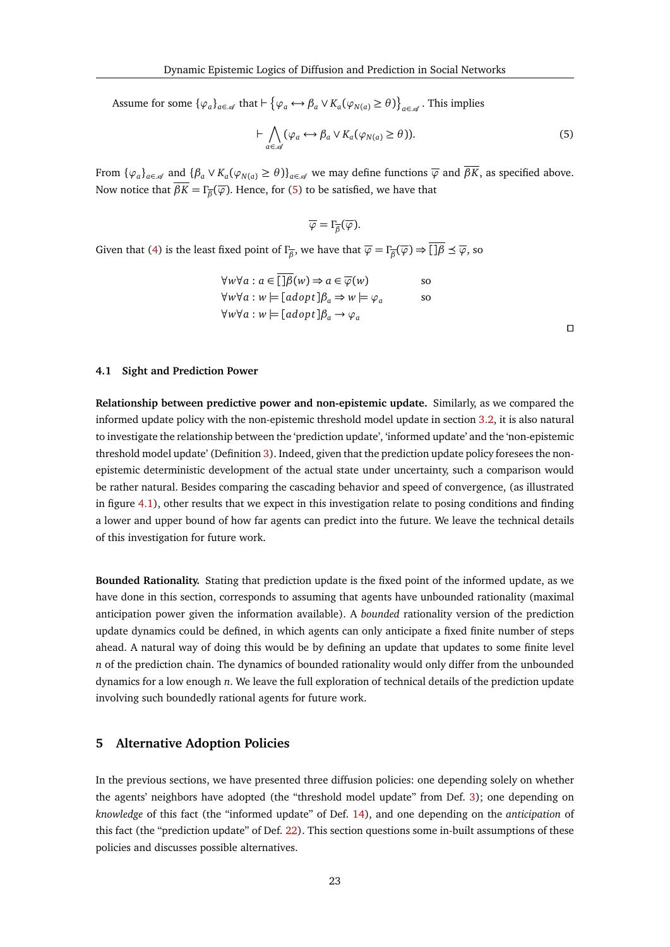Assume for some  $\{\varphi_a\}_{a \in \mathscr{A}}$  that  $\vdash \{\varphi_a \leftrightarrow \beta_a \lor K_a(\varphi_{N(a)} \ge \theta)\}_{a \in \mathscr{A}}$ . This implies

<span id="page-22-1"></span>
$$
\vdash \bigwedge_{a \in \mathcal{A}} (\varphi_a \leftrightarrow \beta_a \lor K_a(\varphi_{N(a)} \ge \theta)). \tag{5}
$$

From  $\{\varphi_a\}_{a \in \mathscr{A}}$  and  $\{\beta_a \vee K_a(\varphi_{N(a)} \ge \theta)\}_{a \in \mathscr{A}}$  we may define functions  $\overline{\varphi}$  and  $\overline{\beta K}$ , as specified above. Now notice that *βK* = *Γ β* (*ϕ*). Hence, for [\(5\)](#page-22-1) to be satisfied, we have that

$$
\overline{\varphi} = \Gamma_{\overline{\beta}}(\overline{\varphi}).
$$

Given that [\(4\)](#page-21-0) is the least fixed point of  $\Gamma_{\overline{\beta}}$ , we have that  $\overline{\varphi} = \Gamma_{\overline{\beta}}(\overline{\varphi}) \Rightarrow \overline{\Pi \beta} \preceq \overline{\varphi}$ , so

$$
\forall w \forall a : a \in \boxed{\exists \beta(w) \Rightarrow a \in \overline{\varphi}(w)} \text{ so}
$$
  

$$
\forall w \forall a : w \models [adopt] \beta_a \Rightarrow w \models \varphi_a \text{ so}
$$
  

$$
\forall w \forall a : w \models [adopt] \beta_a \rightarrow \varphi_a
$$

#### **4.1 Sight and Prediction Power**

**Relationship between predictive power and non-epistemic update.** Similarly, as we compared the informed update policy with the non-epistemic threshold model update in section [3.2,](#page-10-2) it is also natural to investigate the relationship between the 'prediction update', 'informed update' and the 'non-epistemic threshold model update' (Definition [3\)](#page-2-0). Indeed, given that the prediction update policy foresees the nonepistemic deterministic development of the actual state under uncertainty, such a comparison would be rather natural. Besides comparing the cascading behavior and speed of convergence, (as illustrated in figure [4.1\)](#page-22-2), other results that we expect in this investigation relate to posing conditions and finding a lower and upper bound of how far agents can predict into the future. We leave the technical details of this investigation for future work.

<span id="page-22-2"></span>**Bounded Rationality.** Stating that prediction update is the fixed point of the informed update, as we have done in this section, corresponds to assuming that agents have unbounded rationality (maximal anticipation power given the information available). A *bounded* rationality version of the prediction update dynamics could be defined, in which agents can only anticipate a fixed finite number of steps ahead. A natural way of doing this would be by defining an update that updates to some finite level *n* of the prediction chain. The dynamics of bounded rationality would only differ from the unbounded dynamics for a low enough *n*. We leave the full exploration of technical details of the prediction update involving such boundedly rational agents for future work.

## <span id="page-22-0"></span>**5 Alternative Adoption Policies**

In the previous sections, we have presented three diffusion policies: one depending solely on whether the agents' neighbors have adopted (the "threshold model update" from Def. [3\)](#page-2-0); one depending on *knowledge* of this fact (the "informed update" of Def. [14\)](#page-10-1), and one depending on the *anticipation* of this fact (the "prediction update" of Def. [22\)](#page-19-0). This section questions some in-built assumptions of these policies and discusses possible alternatives.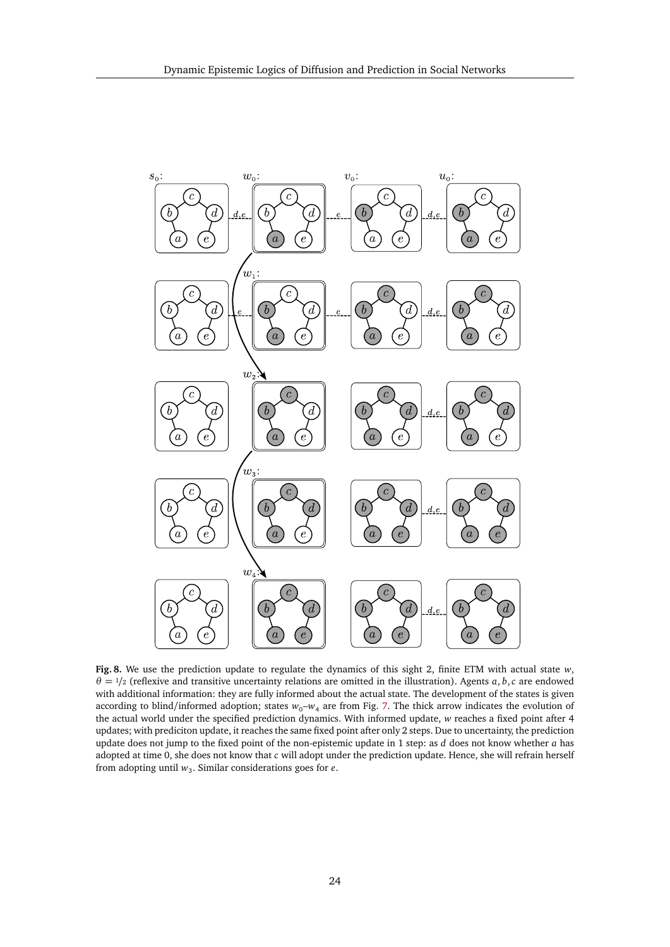

**Fig. 8.** We use the prediction update to regulate the dynamics of this sight 2, finite ETM with actual state *w*,  $\theta = \frac{1}{2}$  (reflexive and transitive uncertainty relations are omitted in the illustration). Agents *a*, *b*,*c* are endowed with additional information: they are fully informed about the actual state. The development of the states is given according to blind/informed adoption; states  $w_0-w_4$  are from Fig. [7.](#page-17-1) The thick arrow indicates the evolution of the actual world under the specified prediction dynamics. With informed update, *w* reaches a fixed point after 4 updates; with prediciton update, it reaches the same fixed point after only 2 steps. Due to uncertainty, the prediction update does not jump to the fixed point of the non-epistemic update in 1 step: as *d* does not know whether *a* has adopted at time 0, she does not know that *c* will adopt under the prediction update. Hence, she will refrain herself from adopting until  $w_3$ . Similar considerations goes for  $e$ .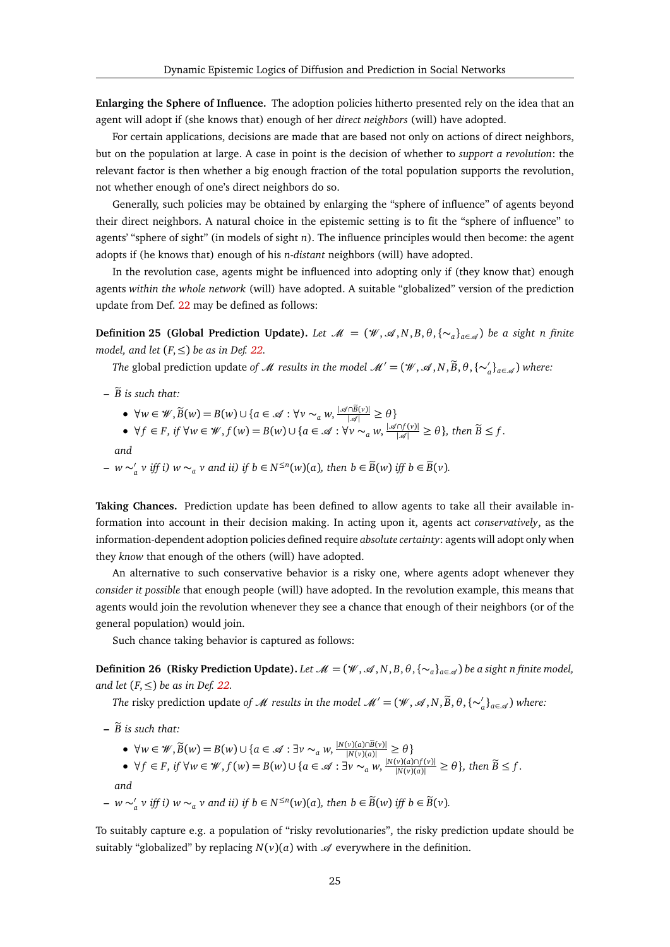**Enlarging the Sphere of Influence.** The adoption policies hitherto presented rely on the idea that an agent will adopt if (she knows that) enough of her *direct neighbors* (will) have adopted.

For certain applications, decisions are made that are based not only on actions of direct neighbors, but on the population at large. A case in point is the decision of whether to *support a revolution*: the relevant factor is then whether a big enough fraction of the total population supports the revolution, not whether enough of one's direct neighbors do so.

Generally, such policies may be obtained by enlarging the "sphere of influence" of agents beyond their direct neighbors. A natural choice in the epistemic setting is to fit the "sphere of influence" to agents' "sphere of sight" (in models of sight *n*). The influence principles would then become: the agent adopts if (he knows that) enough of his *n-distant* neighbors (will) have adopted.

In the revolution case, agents might be influenced into adopting only if (they know that) enough agents *within the whole network* (will) have adopted. A suitable "globalized" version of the prediction update from Def. [22](#page-19-0) may be defined as follows:

**Definition 25 (Global Prediction Update).** *Let*  $\mathcal{M} = (\mathcal{W}, \mathcal{A}, N, B, \theta, {\{\sim_a\}}_{a \in \mathcal{A}})$  *be a sight n finite model, and let*  $(F, \leq)$  *be as in Def.* [22.](#page-19-0)

*The* global prediction update *of*  $M$  *results in the model*  $M' = (\mathcal{W}, \mathcal{A}, N, \widetilde{B}, \theta, {\{\sim}'_a\}_{a \in \mathcal{A}})$  *where:* 

- $\widetilde{B}$  is such that:
	- $\forall w \in \mathcal{W}, \widetilde{B}(w) = B(w) \cup \{a \in \mathcal{A} : \forall v \sim_a w, \frac{|\mathcal{A} \cap \widetilde{B}(v)|}{|\mathcal{A}|} \geq \theta\}$
	- $\forall f \in F$ , if  $\forall w \in \mathcal{W}, f(w) = B(w) \cup \{a \in \mathcal{A} : \forall v \sim_a w, \frac{|\mathcal{A} \cap f(v)|}{|\mathcal{A}|} \ge \theta\}$ , then  $\widetilde{B} \le f$ .

*and*

**–** *w* ∼ 0 *a v* iff i)  $w \sim_a v$  and ii) if  $b \in N^{\leq n}(w)(a)$ , then  $b \in \widetilde{B}(w)$  iff  $b \in \widetilde{B}(v)$ .

**Taking Chances.** Prediction update has been defined to allow agents to take all their available information into account in their decision making. In acting upon it, agents act *conservatively*, as the information-dependent adoption policies defined require *absolute certainty*: agents will adopt only when they *know* that enough of the others (will) have adopted.

An alternative to such conservative behavior is a risky one, where agents adopt whenever they *consider it possible* that enough people (will) have adopted. In the revolution example, this means that agents would join the revolution whenever they see a chance that enough of their neighbors (or of the general population) would join.

Such chance taking behavior is captured as follows:

<span id="page-24-0"></span>**Definition 26** (Risky Prediction Update). Let  $\mathcal{M} = (\mathcal{W}, \mathcal{A}, N, B, \theta, \{\sim_a\}_{a \in \mathcal{A}})$  be a sight n finite model, *and let*  $(F, \leq)$  *be as in Def.* [22.](#page-19-0)

*The* risky prediction update *of*  $M$  *results in the model*  $M' = (\mathcal{W}, \mathcal{A}, N, \widetilde{B}, \theta, {\{\sim}'_a\}_{a \in \mathcal{A}})$  where:

- $\widetilde{B}$  is such that:
	- $\forall w \in \mathcal{W}, \widetilde{B}(w) = B(w) \cup \{a \in \mathcal{A} : \exists v \sim_a w, \frac{|N(v)(a) \cap \widetilde{B}(v)|}{|N(v)(a)|} \ge \theta \}$
	- $\forall f \in F$ , if  $\forall w \in \mathcal{W}, f(w) = B(w) \cup \{a \in \mathcal{A} : \exists v \sim_a w, \frac{|N(v)(a) \cap f(v)|}{|N(v)(a)|} \ge \theta\}$ , then  $\widetilde{B} \le f$ .
	- *and*
- **–** *w* ∼ 0 *a v* iff i)  $w \sim_a v$  and ii) if  $b \in N^{\leq n}(w)(a)$ , then  $b \in \widetilde{B}(w)$  iff  $b \in \widetilde{B}(v)$ .

To suitably capture e.g. a population of "risky revolutionaries", the risky prediction update should be suitably "globalized" by replacing  $N(v)(a)$  with  $\mathscr A$  everywhere in the definition.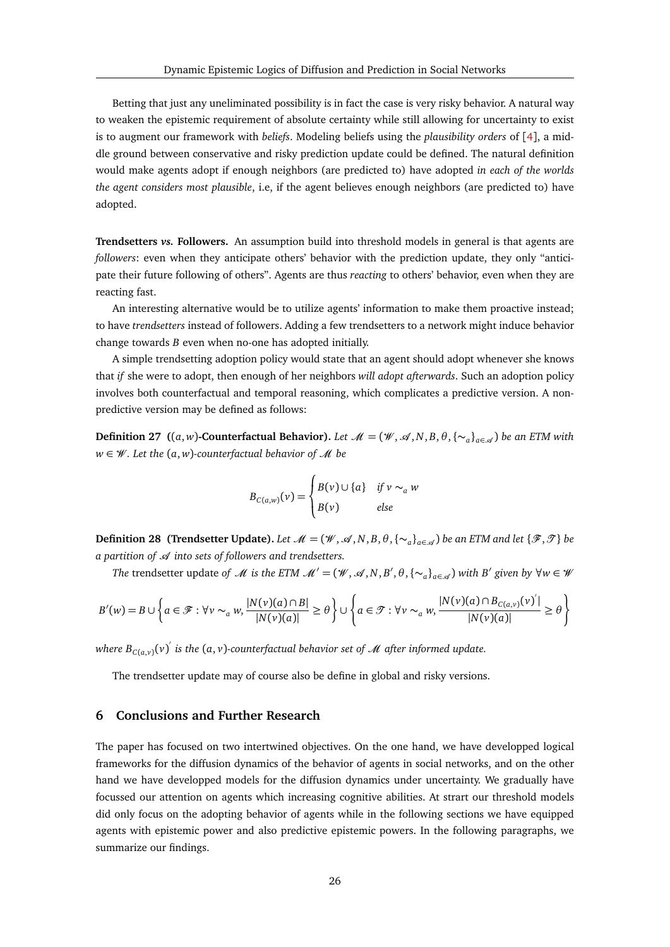Betting that just any uneliminated possibility is in fact the case is very risky behavior. A natural way to weaken the epistemic requirement of absolute certainty while still allowing for uncertainty to exist is to augment our framework with *beliefs*. Modeling beliefs using the *plausibility orders* of [[4](#page-27-20)], a middle ground between conservative and risky prediction update could be defined. The natural definition would make agents adopt if enough neighbors (are predicted to) have adopted *in each of the worlds the agent considers most plausible*, i.e, if the agent believes enough neighbors (are predicted to) have adopted.

**Trendsetters** *vs.* **Followers.** An assumption build into threshold models in general is that agents are *followers*: even when they anticipate others' behavior with the prediction update, they only "anticipate their future following of others". Agents are thus *reacting* to others' behavior, even when they are reacting fast.

An interesting alternative would be to utilize agents' information to make them proactive instead; to have *trendsetters* instead of followers. Adding a few trendsetters to a network might induce behavior change towards *B* even when no-one has adopted initially.

A simple trendsetting adoption policy would state that an agent should adopt whenever she knows that *if* she were to adopt, then enough of her neighbors *will adopt afterwards*. Such an adoption policy involves both counterfactual and temporal reasoning, which complicates a predictive version. A nonpredictive version may be defined as follows:

**Definition 27** ((*a*, *w*)**-Counterfactual Behavior).** Let  $\mathcal{M} = (\mathcal{W}, \mathcal{A}, N, B, \theta, \{\sim_a\}_{a \in \mathcal{A}})$  be an ETM with *w* ∈ W *. Let the* (*a*, *w*)*-counterfactual behavior of* M *be*

$$
B_{C(a,w)}(\nu) = \begin{cases} B(\nu) \cup \{a\} & \text{if } \nu \sim_a w \\ B(\nu) & \text{else} \end{cases}
$$

**Definition 28 (Trendsetter Update).** Let  $\mathcal{M} = (\mathcal{W}, \mathcal{A}, N, B, \theta, \{\sim_a\}_{a \in \mathcal{A}})$  be an ETM and let  $\{\mathcal{F}, \mathcal{T}\}$  be *a partition of A into sets of followers and trendsetters.* 

*The* trendsetter update *of*  $\mathcal M$  *is the ETM*  $\mathcal M' = (\mathcal W, \mathcal A, N, B', \theta, \{\sim_a\}_{a \in \mathcal A})$  *with*  $B'$  given by  $\forall w \in \mathcal W$ 

$$
B'(w) = B \cup \left\{ a \in \mathcal{F} : \forall v \sim_a w, \frac{|N(v)(a) \cap B|}{|N(v)(a)|} \ge \theta \right\} \cup \left\{ a \in \mathcal{F} : \forall v \sim_a w, \frac{|N(v)(a) \cap B_{C(a,v)}(v)|}{|N(v)(a)|} \ge \theta \right\}
$$

where  $B_{C(a,v)}(v)^{'}$  is the  $(a,v)$ -counterfactual behavior set of  ${\mathscr M}$  after informed update.

The trendsetter update may of course also be define in global and risky versions.

## <span id="page-25-0"></span>**6 Conclusions and Further Research**

The paper has focused on two intertwined objectives. On the one hand, we have developped logical frameworks for the diffusion dynamics of the behavior of agents in social networks, and on the other hand we have developped models for the diffusion dynamics under uncertainty. We gradually have focussed our attention on agents which increasing cognitive abilities. At strart our threshold models did only focus on the adopting behavior of agents while in the following sections we have equipped agents with epistemic power and also predictive epistemic powers. In the following paragraphs, we summarize our findings.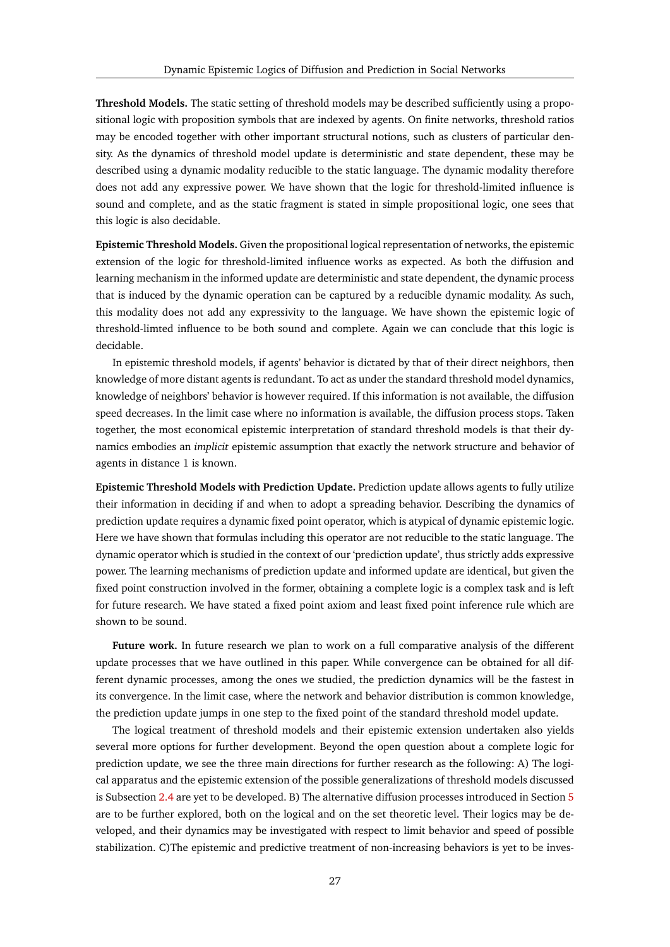**Threshold Models.** The static setting of threshold models may be described sufficiently using a propositional logic with proposition symbols that are indexed by agents. On finite networks, threshold ratios may be encoded together with other important structural notions, such as clusters of particular density. As the dynamics of threshold model update is deterministic and state dependent, these may be described using a dynamic modality reducible to the static language. The dynamic modality therefore does not add any expressive power. We have shown that the logic for threshold-limited influence is sound and complete, and as the static fragment is stated in simple propositional logic, one sees that this logic is also decidable.

**Epistemic Threshold Models.** Given the propositional logical representation of networks, the epistemic extension of the logic for threshold-limited influence works as expected. As both the diffusion and learning mechanism in the informed update are deterministic and state dependent, the dynamic process that is induced by the dynamic operation can be captured by a reducible dynamic modality. As such, this modality does not add any expressivity to the language. We have shown the epistemic logic of threshold-limted influence to be both sound and complete. Again we can conclude that this logic is decidable.

In epistemic threshold models, if agents' behavior is dictated by that of their direct neighbors, then knowledge of more distant agents is redundant. To act as under the standard threshold model dynamics, knowledge of neighbors' behavior is however required. If this information is not available, the diffusion speed decreases. In the limit case where no information is available, the diffusion process stops. Taken together, the most economical epistemic interpretation of standard threshold models is that their dynamics embodies an *implicit* epistemic assumption that exactly the network structure and behavior of agents in distance 1 is known.

**Epistemic Threshold Models with Prediction Update.** Prediction update allows agents to fully utilize their information in deciding if and when to adopt a spreading behavior. Describing the dynamics of prediction update requires a dynamic fixed point operator, which is atypical of dynamic epistemic logic. Here we have shown that formulas including this operator are not reducible to the static language. The dynamic operator which is studied in the context of our 'prediction update', thus strictly adds expressive power. The learning mechanisms of prediction update and informed update are identical, but given the fixed point construction involved in the former, obtaining a complete logic is a complex task and is left for future research. We have stated a fixed point axiom and least fixed point inference rule which are shown to be sound.

**Future work.** In future research we plan to work on a full comparative analysis of the different update processes that we have outlined in this paper. While convergence can be obtained for all different dynamic processes, among the ones we studied, the prediction dynamics will be the fastest in its convergence. In the limit case, where the network and behavior distribution is common knowledge, the prediction update jumps in one step to the fixed point of the standard threshold model update.

The logical treatment of threshold models and their epistemic extension undertaken also yields several more options for further development. Beyond the open question about a complete logic for prediction update, we see the three main directions for further research as the following: A) The logical apparatus and the epistemic extension of the possible generalizations of threshold models discussed is Subsection [2.4](#page-8-1) are yet to be developed. B) The alternative diffusion processes introduced in Section [5](#page-22-0) are to be further explored, both on the logical and on the set theoretic level. Their logics may be developed, and their dynamics may be investigated with respect to limit behavior and speed of possible stabilization. C)The epistemic and predictive treatment of non-increasing behaviors is yet to be inves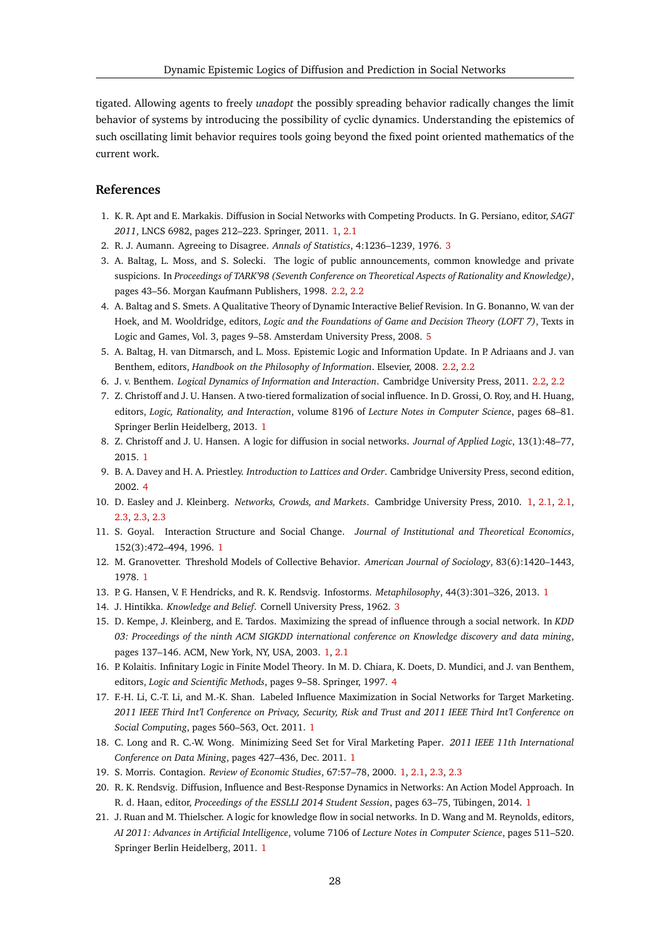tigated. Allowing agents to freely *unadopt* the possibly spreading behavior radically changes the limit behavior of systems by introducing the possibility of cyclic dynamics. Understanding the epistemics of such oscillating limit behavior requires tools going beyond the fixed point oriented mathematics of the current work.

## **References**

- <span id="page-27-5"></span>1. K. R. Apt and E. Markakis. Diffusion in Social Networks with Competing Products. In G. Persiano, editor, *SAGT 2011*, LNCS 6982, pages 212–223. Springer, 2011. [1,](#page-0-0) [2.1](#page-3-2)
- <span id="page-27-17"></span>2. R. J. Aumann. Agreeing to Disagree. *Annals of Statistics*, 4:1236–1239, 1976. [3](#page-9-0)
- <span id="page-27-13"></span>3. A. Baltag, L. Moss, and S. Solecki. The logic of public announcements, common knowledge and private suspicions. In *Proceedings of TARK'98 (Seventh Conference on Theoretical Aspects of Rationality and Knowledge)*, pages 43–56. Morgan Kaufmann Publishers, 1998. [2.2,](#page-3-3) [2.2](#page-4-1)
- <span id="page-27-20"></span>4. A. Baltag and S. Smets. A Qualitative Theory of Dynamic Interactive Belief Revision. In G. Bonanno, W. van der Hoek, and M. Wooldridge, editors, *Logic and the Foundations of Game and Decision Theory (LOFT 7)*, Texts in Logic and Games, Vol. 3, pages 9–58. Amsterdam University Press, 2008. [5](#page-24-0)
- <span id="page-27-14"></span>5. A. Baltag, H. van Ditmarsch, and L. Moss. Epistemic Logic and Information Update. In P. Adriaans and J. van Benthem, editors, *Handbook on the Philosophy of Information*. Elsevier, 2008. [2.2,](#page-3-3) [2.2](#page-4-1)
- <span id="page-27-15"></span>6. J. v. Benthem. *Logical Dynamics of Information and Interaction*. Cambridge University Press, 2011. [2.2,](#page-3-3) [2.2](#page-4-1)
- <span id="page-27-10"></span>7. Z. Christoff and J. U. Hansen. A two-tiered formalization of social influence. In D. Grossi, O. Roy, and H. Huang, editors, *Logic, Rationality, and Interaction*, volume 8196 of *Lecture Notes in Computer Science*, pages 68–81. Springer Berlin Heidelberg, 2013. [1](#page-0-0)
- <span id="page-27-11"></span>8. Z. Christoff and J. U. Hansen. A logic for diffusion in social networks. *Journal of Applied Logic*, 13(1):48–77, 2015. [1](#page-0-0)
- <span id="page-27-18"></span>9. B. A. Davey and H. A. Priestley. *Introduction to Lattices and Order*. Cambridge University Press, second edition, 2002. [4](#page-19-2)
- <span id="page-27-0"></span>10. D. Easley and J. Kleinberg. *Networks, Crowds, and Markets*. Cambridge University Press, 2010. [1,](#page-0-0) [2.1,](#page-2-0) [2.1,](#page-3-2) [2.3,](#page-6-0) [2.3,](#page-6-2) [2.3](#page-7-3)
- <span id="page-27-6"></span>11. S. Goyal. Interaction Structure and Social Change. *Journal of Institutional and Theoretical Economics*, 152(3):472–494, 1996. [1](#page-0-0)
- <span id="page-27-2"></span>12. M. Granovetter. Threshold Models of Collective Behavior. *American Journal of Sociology*, 83(6):1420–1443, 1978. [1](#page-0-0)
- <span id="page-27-1"></span>13. P. G. Hansen, V. F. Hendricks, and R. K. Rendsvig. Infostorms. *Metaphilosophy*, 44(3):301–326, 2013. [1](#page-0-0)
- <span id="page-27-16"></span>14. J. Hintikka. *Knowledge and Belief*. Cornell University Press, 1962. [3](#page-9-0)
- <span id="page-27-3"></span>15. D. Kempe, J. Kleinberg, and E. Tardos. Maximizing the spread of influence through a social network. In *KDD 03: Proceedings of the ninth ACM SIGKDD international conference on Knowledge discovery and data mining*, pages 137–146. ACM, New York, NY, USA, 2003. [1,](#page-0-0) [2.1](#page-3-2)
- <span id="page-27-19"></span>16. P. Kolaitis. Infinitary Logic in Finite Model Theory. In M. D. Chiara, K. Doets, D. Mundici, and J. van Benthem, editors, *Logic and Scientific Methods*, pages 9–58. Springer, 1997. [4](#page-19-1)
- <span id="page-27-7"></span>17. F.-H. Li, C.-T. Li, and M.-K. Shan. Labeled Influence Maximization in Social Networks for Target Marketing. *2011 IEEE Third Int'l Conference on Privacy, Security, Risk and Trust and 2011 IEEE Third Int'l Conference on Social Computing*, pages 560–563, Oct. 2011. [1](#page-0-0)
- <span id="page-27-8"></span>18. C. Long and R. C.-W. Wong. Minimizing Seed Set for Viral Marketing Paper. *2011 IEEE 11th International Conference on Data Mining*, pages 427–436, Dec. 2011. [1](#page-0-0)
- <span id="page-27-4"></span>19. S. Morris. Contagion. *Review of Economic Studies*, 67:57–78, 2000. [1,](#page-0-0) [2.1,](#page-3-2) [2.3,](#page-6-2) [2.3](#page-7-3)
- <span id="page-27-12"></span>20. R. K. Rendsvig. Diffusion, Influence and Best-Response Dynamics in Networks: An Action Model Approach. In R. d. Haan, editor, *Proceedings of the ESSLLI 2014 Student Session*, pages 63–75, Tübingen, 2014. [1](#page-0-0)
- <span id="page-27-9"></span>21. J. Ruan and M. Thielscher. A logic for knowledge flow in social networks. In D. Wang and M. Reynolds, editors, *AI 2011: Advances in Artificial Intelligence*, volume 7106 of *Lecture Notes in Computer Science*, pages 511–520. Springer Berlin Heidelberg, 2011. [1](#page-0-0)